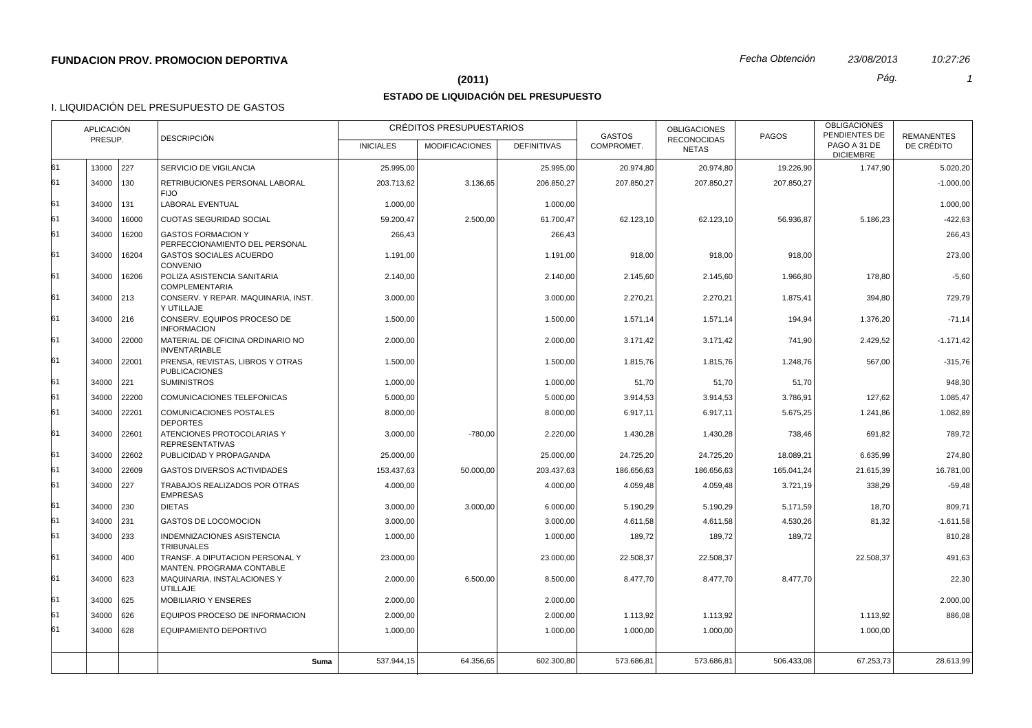## **(2011)** *Pág. 1*

# **ESTADO DE LIQUIDACIÓN DEL PRESUPUESTO**

## I. LIQUIDACIÓN DEL PRESUPUESTO DE GASTOS

|    | <b>APLICACIÓN</b> |             | <b>DESCRIPCIÓN</b>                                           |                  | CRÉDITOS PRESUPUESTARIOS |                    | <b>GASTOS</b> | <b>OBLIGACIONES</b>                | <b>PAGOS</b> | <b>OBLIGACIONES</b><br>PENDIENTES DE | <b>REMANENTES</b> |
|----|-------------------|-------------|--------------------------------------------------------------|------------------|--------------------------|--------------------|---------------|------------------------------------|--------------|--------------------------------------|-------------------|
|    | PRESUP.           |             |                                                              | <b>INICIALES</b> | <b>MODIFICACIONES</b>    | <b>DEFINITIVAS</b> | COMPROMET.    | <b>RECONOCIDAS</b><br><b>NETAS</b> |              | PAGO A 31 DE<br><b>DICIEMBRE</b>     | DE CRÉDITO        |
| 61 | 13000 227         |             | SERVICIO DE VIGILANCIA                                       | 25.995,00        |                          | 25.995,00          | 20.974,80     | 20.974,80                          | 19.226,90    | 1.747,90                             | 5.020,20          |
| 61 | 34000 130         |             | RETRIBUCIONES PERSONAL LABORAL<br><b>FIJO</b>                | 203.713.62       | 3.136.65                 | 206.850.27         | 207.850.27    | 207.850.27                         | 207.850.27   |                                      | $-1.000.00$       |
| 61 | 34000             | 131         | LABORAL EVENTUAL                                             | 1.000,00         |                          | 1.000,00           |               |                                    |              |                                      | 1.000,00          |
| 61 | 34000             | 16000       | CUOTAS SEGURIDAD SOCIAL                                      | 59.200,47        | 2.500,00                 | 61.700,47          | 62.123,10     | 62.123,10                          | 56.936,87    | 5.186,23                             | $-422,63$         |
| 61 | 34000             | 16200       | <b>GASTOS FORMACION Y</b><br>PERFECCIONAMIENTO DEL PERSONAL  | 266,43           |                          | 266,43             |               |                                    |              |                                      | 266,43            |
| 61 | 34000             | 16204       | <b>GASTOS SOCIALES ACUERDO</b><br>CONVENIO                   | 1.191,00         |                          | 1.191,00           | 918,00        | 918,00                             | 918,00       |                                      | 273,00            |
| 61 | 34000             | 16206       | POLIZA ASISTENCIA SANITARIA<br><b>COMPLEMENTARIA</b>         | 2.140,00         |                          | 2.140,00           | 2.145,60      | 2.145,60                           | 1.966,80     | 178,80                               | $-5,60$           |
| 61 | 34000 213         |             | CONSERV. Y REPAR. MAQUINARIA, INST.<br>Y UTILLAJE            | 3.000,00         |                          | 3.000,00           | 2.270,21      | 2.270,21                           | 1.875,41     | 394,80                               | 729,79            |
| 61 | 34000 216         |             | CONSERV. EQUIPOS PROCESO DE<br><b>INFORMACION</b>            | 1.500,00         |                          | 1.500,00           | 1.571,14      | 1.571,14                           | 194,94       | 1.376,20                             | $-71,14$          |
| 61 |                   | 34000 22000 | MATERIAL DE OFICINA ORDINARIO NO<br><b>INVENTARIABLE</b>     | 2.000,00         |                          | 2.000,00           | 3.171,42      | 3.171,42                           | 741,90       | 2.429,52                             | $-1.171,42$       |
| 61 | 34000             | 22001       | PRENSA, REVISTAS, LIBROS Y OTRAS<br><b>PUBLICACIONES</b>     | 1.500,00         |                          | 1.500,00           | 1.815,76      | 1.815,76                           | 1.248,76     | 567,00                               | $-315,76$         |
| 61 | 34000 221         |             | <b>SUMINISTROS</b>                                           | 1.000,00         |                          | 1.000,00           | 51,70         | 51,70                              | 51,70        |                                      | 948,30            |
| 61 | 34000             | 22200       | COMUNICACIONES TELEFONICAS                                   | 5.000,00         |                          | 5.000,00           | 3.914,53      | 3.914,53                           | 3.786,91     | 127,62                               | 1.085,47          |
| 61 | 34000             | 22201       | COMUNICACIONES POSTALES<br><b>DEPORTES</b>                   | 8.000,00         |                          | 8.000,00           | 6.917,11      | 6.917,11                           | 5.675,25     | 1.241,86                             | 1.082,89          |
| 61 | 34000             | 22601       | ATENCIONES PROTOCOLARIAS Y<br><b>REPRESENTATIVAS</b>         | 3.000,00         | $-780,00$                | 2.220,00           | 1.430,28      | 1.430,28                           | 738,46       | 691,82                               | 789,72            |
| 61 | 34000             | 22602       | PUBLICIDAD Y PROPAGANDA                                      | 25.000,00        |                          | 25.000,00          | 24.725,20     | 24.725,20                          | 18.089,21    | 6.635,99                             | 274,80            |
| 61 | 34000             | 22609       | <b>GASTOS DIVERSOS ACTIVIDADES</b>                           | 153.437,63       | 50.000,00                | 203.437,63         | 186.656,63    | 186.656,63                         | 165.041,24   | 21.615,39                            | 16.781,00         |
| 61 | 34000             | 227         | TRABAJOS REALIZADOS POR OTRAS<br><b>EMPRESAS</b>             | 4.000,00         |                          | 4.000,00           | 4.059,48      | 4.059,48                           | 3.721,19     | 338,29                               | $-59,48$          |
| 61 | 34000 230         |             | <b>DIETAS</b>                                                | 3.000,00         | 3.000,00                 | 6.000,00           | 5.190,29      | 5.190,29                           | 5.171,59     | 18,70                                | 809,71            |
| 61 | 34000 231         |             | GASTOS DE LOCOMOCION                                         | 3.000,00         |                          | 3.000,00           | 4.611,58      | 4.611,58                           | 4.530,26     | 81,32                                | $-1.611,58$       |
| 61 | 34000             | 233         | INDEMNIZACIONES ASISTENCIA<br><b>TRIBUNALES</b>              | 1.000,00         |                          | 1.000,00           | 189,72        | 189,72                             | 189,72       |                                      | 810,28            |
| 61 | 34000 400         |             | TRANSF. A DIPUTACION PERSONAL Y<br>MANTEN, PROGRAMA CONTABLE | 23.000,00        |                          | 23.000,00          | 22.508,37     | 22.508,37                          |              | 22.508,37                            | 491,63            |
| 61 | 34000 623         |             | MAQUINARIA, INSTALACIONES Y<br><b>UTILLAJE</b>               | 2.000,00         | 6.500,00                 | 8.500,00           | 8.477,70      | 8.477,70                           | 8.477,70     |                                      | 22,30             |
| 61 | 34000 625         |             | <b>MOBILIARIO Y ENSERES</b>                                  | 2.000,00         |                          | 2.000.00           |               |                                    |              |                                      | 2.000,00          |
| 61 | 34000 626         |             | EQUIPOS PROCESO DE INFORMACION                               | 2.000,00         |                          | 2.000,00           | 1.113,92      | 1.113,92                           |              | 1.113,92                             | 886,08            |
| 61 | 34000 628         |             | EQUIPAMIENTO DEPORTIVO                                       | 1.000,00         |                          | 1.000,00           | 1.000,00      | 1.000,00                           |              | 1.000,00                             |                   |
|    |                   |             | Suma                                                         | 537.944,15       | 64.356,65                | 602.300,80         | 573.686,81    | 573.686,81                         | 506.433,08   | 67.253,73                            | 28.613,99         |
|    |                   |             |                                                              |                  |                          |                    |               |                                    |              |                                      |                   |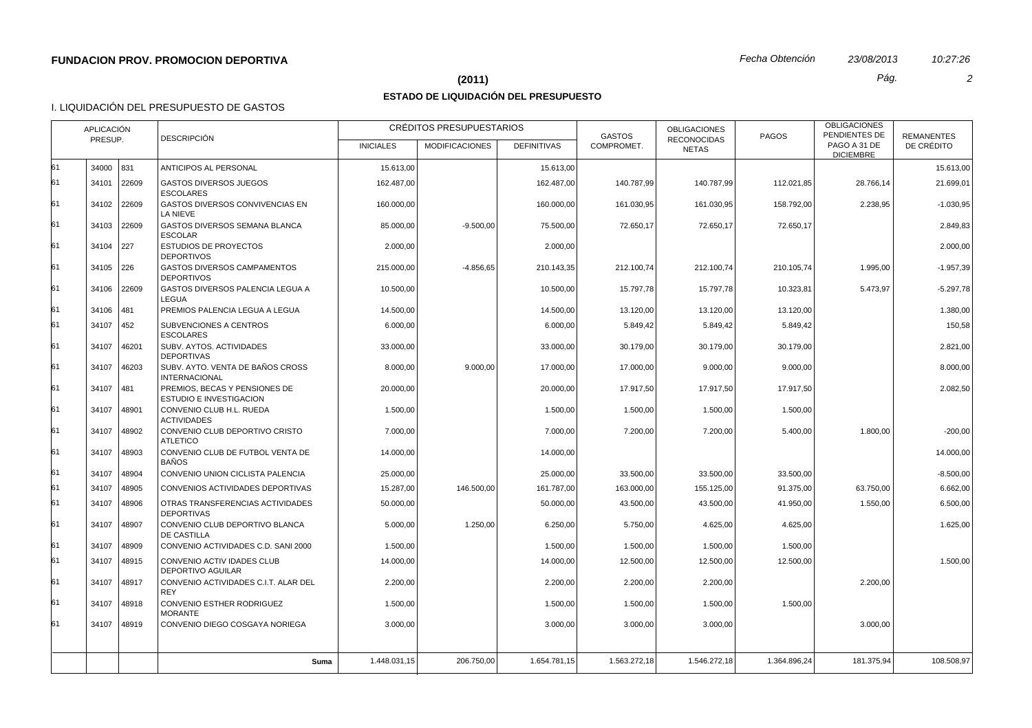## **(2011)** *Pág. 2*

# **ESTADO DE LIQUIDACIÓN DEL PRESUPUESTO**

## I. LIQUIDACIÓN DEL PRESUPUESTO DE GASTOS

|          | APLICACIÓN<br>PRESUP. |                | <b>DESCRIPCIÓN</b>                                                               |                      | CRÉDITOS PRESUPUESTARIOS |                      | <b>GASTOS</b>        | <b>OBLIGACIONES</b><br><b>RECONOCIDAS</b> | <b>PAGOS</b>         | <b>OBLIGACIONES</b><br>PENDIENTES DE | <b>REMANENTES</b> |
|----------|-----------------------|----------------|----------------------------------------------------------------------------------|----------------------|--------------------------|----------------------|----------------------|-------------------------------------------|----------------------|--------------------------------------|-------------------|
|          |                       |                |                                                                                  | <b>INICIALES</b>     | <b>MODIFICACIONES</b>    | <b>DEFINITIVAS</b>   | COMPROMET.           | <b>NETAS</b>                              |                      | PAGO A 31 DE<br><b>DICIEMBRE</b>     | DE CRÉDITO        |
| 61       | 34000 831             |                | ANTICIPOS AL PERSONAL                                                            | 15.613,00            |                          | 15.613,00            |                      |                                           |                      |                                      | 15.613,00         |
| 61       | 34101                 | 22609          | <b>GASTOS DIVERSOS JUEGOS</b><br><b>ESCOLARES</b>                                | 162.487,00           |                          | 162.487,00           | 140.787,99           | 140.787,99                                | 112.021,85           | 28.766,14                            | 21.699,01         |
| 61       |                       | 34102 22609    | GASTOS DIVERSOS CONVIVENCIAS EN<br>LA NIEVE                                      | 160.000,00           |                          | 160.000,00           | 161.030,95           | 161.030,95                                | 158.792,00           | 2.238,95                             | $-1.030,95$       |
| 61       | 34103                 | 22609          | GASTOS DIVERSOS SEMANA BLANCA<br><b>ESCOLAR</b>                                  | 85.000,00            | $-9.500,00$              | 75.500,00            | 72.650,17            | 72.650,17                                 | 72.650,17            |                                      | 2.849,83          |
| 61       | 34104 227             |                | <b>ESTUDIOS DE PROYECTOS</b><br><b>DEPORTIVOS</b>                                | 2.000,00             |                          | 2.000,00             |                      |                                           |                      |                                      | 2.000,00          |
| 61       | 34105 226             |                | <b>GASTOS DIVERSOS CAMPAMENTOS</b><br><b>DEPORTIVOS</b>                          | 215.000,00           | $-4.856,65$              | 210.143,35           | 212.100,74           | 212.100,74                                | 210.105,74           | 1.995,00                             | $-1.957,39$       |
| 61       |                       | 34106 22609    | GASTOS DIVERSOS PALENCIA LEGUA A<br>LEGUA                                        | 10.500,00            |                          | 10.500,00            | 15.797,78            | 15.797,78                                 | 10.323,81            | 5.473,97                             | $-5.297,78$       |
| 61       | 34106 481             |                | PREMIOS PALENCIA LEGUA A LEGUA                                                   | 14.500,00            |                          | 14.500,00            | 13.120,00            | 13.120,00                                 | 13.120,00            |                                      | 1.380,00          |
| 61       | 34107                 | 452            | SUBVENCIONES A CENTROS<br><b>ESCOLARES</b>                                       | 6.000,00             |                          | 6.000,00             | 5.849,42             | 5.849,42                                  | 5.849,42             |                                      | 150,58            |
| 61       | 34107                 | 46201          | SUBV. AYTOS. ACTIVIDADES<br><b>DEPORTIVAS</b>                                    | 33.000,00            |                          | 33.000,00            | 30.179,00            | 30.179,00                                 | 30.179,00            |                                      | 2.821,00          |
| 61       | 34107                 | 46203          | SUBV. AYTO. VENTA DE BAÑOS CROSS<br><b>INTERNACIONAL</b>                         | 8.000,00             | 9.000,00                 | 17.000,00            | 17.000,00            | 9.000,00                                  | 9.000,00             |                                      | 8.000,00          |
| 61<br>61 | 34107<br>34107        | 481            | PREMIOS, BECAS Y PENSIONES DE<br>ESTUDIO E INVESTIGACION                         | 20.000,00            |                          | 20.000,00            | 17.917,50            | 17.917,50                                 | 17.917,50            |                                      | 2.082,50          |
| 61       | 34107                 | 48901<br>48902 | CONVENIO CLUB H.L. RUEDA<br><b>ACTIVIDADES</b><br>CONVENIO CLUB DEPORTIVO CRISTO | 1.500,00<br>7.000,00 |                          | 1.500,00<br>7.000,00 | 1.500,00<br>7.200,00 | 1.500,00<br>7.200,00                      | 1.500,00<br>5.400,00 | 1.800,00                             | $-200,00$         |
|          |                       |                | <b>ATLETICO</b>                                                                  |                      |                          |                      |                      |                                           |                      |                                      |                   |
| 61       | 34107                 | 48903          | CONVENIO CLUB DE FUTBOL VENTA DE<br><b>BAÑOS</b>                                 | 14.000,00            |                          | 14.000,00            |                      |                                           |                      |                                      | 14.000.00         |
| 61       | 34107                 | 48904          | CONVENIO UNION CICLISTA PALENCIA                                                 | 25.000,00            |                          | 25.000,00            | 33.500,00            | 33.500,00                                 | 33.500,00            |                                      | $-8.500,00$       |
| 61       | 34107                 | 48905          | CONVENIOS ACTIVIDADES DEPORTIVAS                                                 | 15.287,00            | 146.500,00               | 161.787,00           | 163.000,00           | 155.125,00                                | 91.375,00            | 63.750,00                            | 6.662,00          |
| 61       | 34107                 | 48906          | OTRAS TRANSFERENCIAS ACTIVIDADES<br><b>DEPORTIVAS</b>                            | 50.000,00            |                          | 50.000,00            | 43.500,00            | 43.500,00                                 | 41.950,00            | 1.550,00                             | 6.500,00          |
| 61       | 34107                 | 48907          | CONVENIO CLUB DEPORTIVO BLANCA<br><b>DE CASTILLA</b>                             | 5.000,00             | 1.250,00                 | 6.250,00             | 5.750,00             | 4.625,00                                  | 4.625,00             |                                      | 1.625,00          |
| 61       | 34107                 | 48909          | CONVENIO ACTIVIDADES C.D. SANI 2000                                              | 1.500,00             |                          | 1.500,00             | 1.500,00             | 1.500,00                                  | 1.500,00             |                                      |                   |
| 61       | 34107                 | 48915          | CONVENIO ACTIV IDADES CLUB<br><b>DEPORTIVO AGUILAR</b>                           | 14.000,00            |                          | 14.000,00            | 12.500,00            | 12.500,00                                 | 12.500,00            |                                      | 1.500,00          |
| 61       | 34107                 | 48917          | CONVENIO ACTIVIDADES C.I.T. ALAR DEL<br><b>REY</b>                               | 2.200,00             |                          | 2.200.00             | 2.200,00             | 2.200,00                                  |                      | 2.200.00                             |                   |
| 61       | 34107                 | 48918          | CONVENIO ESTHER RODRIGUEZ<br><b>MORANTE</b>                                      | 1.500,00             |                          | 1.500,00             | 1.500,00             | 1.500,00                                  | 1.500,00             |                                      |                   |
| 61       | 34107                 | 48919          | CONVENIO DIEGO COSGAYA NORIEGA                                                   | 3.000.00             |                          | 3.000.00             | 3.000.00             | 3.000,00                                  |                      | 3.000.00                             |                   |
|          |                       |                | Suma                                                                             | 1.448.031,15         | 206.750,00               | 1.654.781,15         | 1.563.272,18         | 1.546.272,18                              | 1.364.896.24         | 181.375,94                           | 108.508,97        |
|          |                       |                |                                                                                  |                      |                          |                      |                      |                                           |                      |                                      |                   |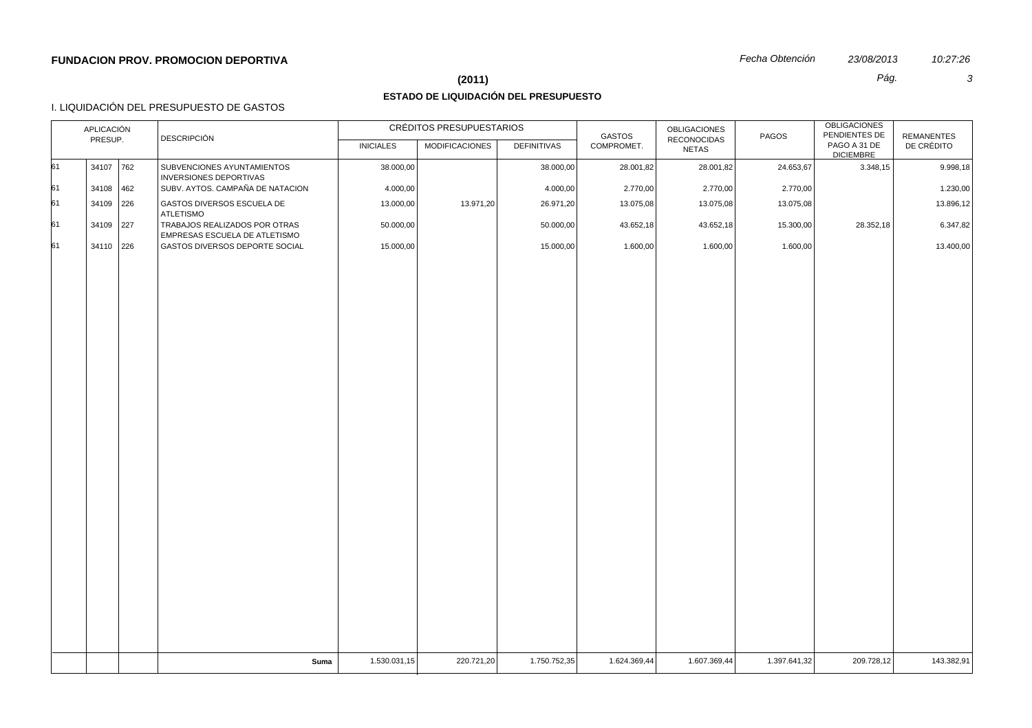## **(2011)** *Pág. 3*

# **ESTADO DE LIQUIDACIÓN DEL PRESUPUESTO**

## I. LIQUIDACIÓN DEL PRESUPUESTO DE GASTOS

|    | APLICACIÓN |     | <b>DESCRIPCIÓN</b>                                                    |                  | CRÉDITOS PRESUPUESTARIOS |                    | GASTOS       | <b>OBLIGACIONES</b>                | PAGOS        | OBLIGACIONES<br>PENDIENTES DE    | <b>REMANENTES</b> |
|----|------------|-----|-----------------------------------------------------------------------|------------------|--------------------------|--------------------|--------------|------------------------------------|--------------|----------------------------------|-------------------|
|    | PRESUP.    |     |                                                                       | <b>INICIALES</b> | <b>MODIFICACIONES</b>    | <b>DEFINITIVAS</b> | COMPROMET.   | <b>RECONOCIDAS</b><br><b>NETAS</b> |              | PAGO A 31 DE<br><b>DICIEMBRE</b> | DE CRÉDITO        |
| 61 | 34107 762  |     | SUBVENCIONES AYUNTAMIENTOS<br><b>INVERSIONES DEPORTIVAS</b>           | 38.000,00        |                          | 38.000,00          | 28.001,82    | 28.001,82                          | 24.653,67    | 3.348,15                         | 9.998,18          |
| 61 | 34108      | 462 | SUBV. AYTOS. CAMPAÑA DE NATACION                                      | 4.000,00         |                          | 4.000,00           | 2.770,00     | 2.770,00                           | 2.770,00     |                                  | 1.230,00          |
| 61 | 34109 226  |     | GASTOS DIVERSOS ESCUELA DE<br><b>ATLETISMO</b>                        | 13.000,00        | 13.971,20                | 26.971,20          | 13.075,08    | 13.075,08                          | 13.075,08    |                                  | 13.896,12         |
| 61 | 34109 227  |     | TRABAJOS REALIZADOS POR OTRAS<br><b>EMPRESAS ESCUELA DE ATLETISMO</b> | 50.000,00        |                          | 50.000,00          | 43.652,18    | 43.652,18                          | 15.300,00    | 28.352,18                        | 6.347,82          |
| 61 | 34110 226  |     | GASTOS DIVERSOS DEPORTE SOCIAL                                        | 15.000,00        |                          | 15.000,00          | 1.600,00     | 1.600,00                           | 1.600,00     |                                  | 13.400,00         |
|    |            |     |                                                                       |                  |                          |                    |              |                                    |              |                                  |                   |
|    |            |     |                                                                       |                  |                          |                    |              |                                    |              |                                  |                   |
|    |            |     |                                                                       |                  |                          |                    |              |                                    |              |                                  |                   |
|    |            |     |                                                                       |                  |                          |                    |              |                                    |              |                                  |                   |
|    |            |     |                                                                       |                  |                          |                    |              |                                    |              |                                  |                   |
|    |            |     |                                                                       |                  |                          |                    |              |                                    |              |                                  |                   |
|    |            |     |                                                                       |                  |                          |                    |              |                                    |              |                                  |                   |
|    |            |     |                                                                       |                  |                          |                    |              |                                    |              |                                  |                   |
|    |            |     |                                                                       |                  |                          |                    |              |                                    |              |                                  |                   |
|    |            |     |                                                                       |                  |                          |                    |              |                                    |              |                                  |                   |
|    |            |     |                                                                       |                  |                          |                    |              |                                    |              |                                  |                   |
|    |            |     |                                                                       |                  |                          |                    |              |                                    |              |                                  |                   |
|    |            |     |                                                                       |                  |                          |                    |              |                                    |              |                                  |                   |
|    |            |     |                                                                       |                  |                          |                    |              |                                    |              |                                  |                   |
|    |            |     |                                                                       |                  |                          |                    |              |                                    |              |                                  |                   |
|    |            |     |                                                                       |                  |                          |                    |              |                                    |              |                                  |                   |
|    |            |     |                                                                       |                  |                          |                    |              |                                    |              |                                  |                   |
|    |            |     | Suma                                                                  | 1.530.031,15     | 220.721,20               | 1.750.752,35       | 1.624.369,44 | 1.607.369,44                       | 1.397.641,32 | 209.728,12                       | 143.382,91        |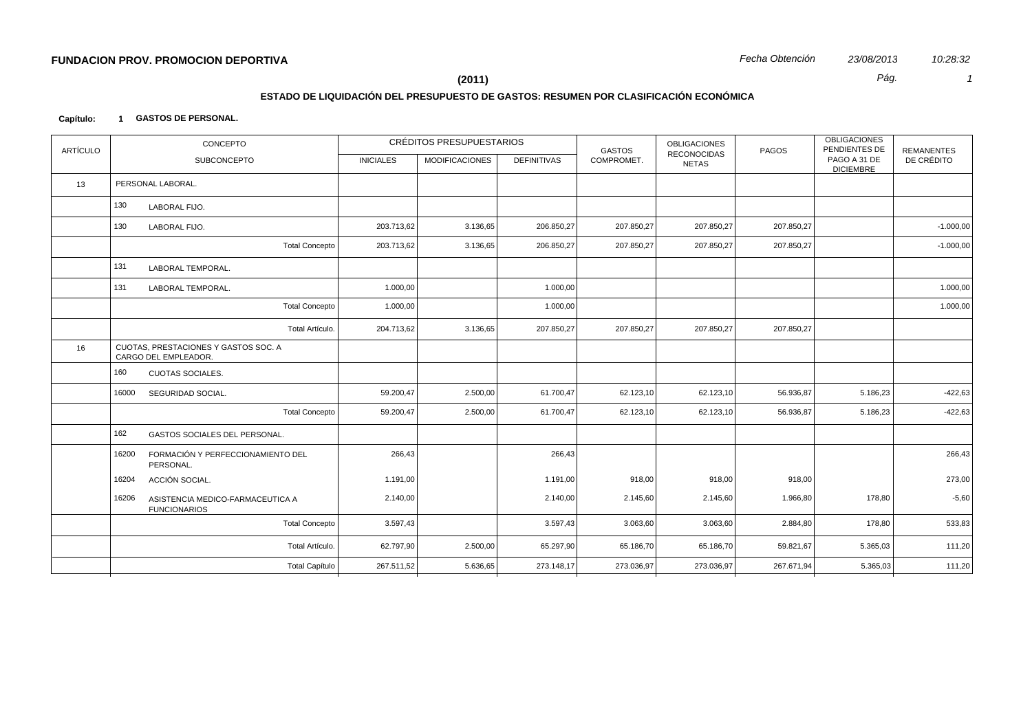# **ESTADO DE LIQUIDACIÓN DEL PRESUPUESTO DE GASTOS: RESUMEN POR CLASIFICACIÓN ECONÓMICA**

### **Capítulo: 1 GASTOS DE PERSONAL.**

| <b>ARTÍCULO</b> | CONCEPTO                                                         |                  | CRÉDITOS PRESUPUESTARIOS |                    | <b>GASTOS</b> | OBLIGACIONES                       | PAGOS      | <b>OBLIGACIONES</b><br>PENDIENTES DE | <b>REMANENTES</b> |
|-----------------|------------------------------------------------------------------|------------------|--------------------------|--------------------|---------------|------------------------------------|------------|--------------------------------------|-------------------|
|                 | SUBCONCEPTO                                                      | <b>INICIALES</b> | MODIFICACIONES           | <b>DEFINITIVAS</b> | COMPROMET.    | <b>RECONOCIDAS</b><br><b>NETAS</b> |            | PAGO A 31 DE<br><b>DICIEMBRE</b>     | DE CRÉDITO        |
| 13              | PERSONAL LABORAL.                                                |                  |                          |                    |               |                                    |            |                                      |                   |
|                 | 130<br>LABORAL FIJO.                                             |                  |                          |                    |               |                                    |            |                                      |                   |
|                 | 130<br>LABORAL FIJO.                                             | 203.713,62       | 3.136,65                 | 206.850,27         | 207.850,27    | 207.850,27                         | 207.850,27 |                                      | $-1.000,00$       |
|                 | <b>Total Concepto</b>                                            | 203.713,62       | 3.136,65                 | 206.850,27         | 207.850,27    | 207.850,27                         | 207.850,27 |                                      | $-1.000,00$       |
|                 | 131<br>LABORAL TEMPORAL.                                         |                  |                          |                    |               |                                    |            |                                      |                   |
|                 | 131<br>LABORAL TEMPORAL.                                         | 1.000,00         |                          | 1.000,00           |               |                                    |            |                                      | 1.000,00          |
|                 | <b>Total Concepto</b>                                            | 1.000,00         |                          | 1.000,00           |               |                                    |            |                                      | 1.000,00          |
|                 | Total Artículo.                                                  | 204.713,62       | 3.136,65                 | 207.850,27         | 207.850,27    | 207.850,27                         | 207.850,27 |                                      |                   |
| 16              | CUOTAS, PRESTACIONES Y GASTOS SOC. A<br>CARGO DEL EMPLEADOR.     |                  |                          |                    |               |                                    |            |                                      |                   |
|                 | 160<br><b>CUOTAS SOCIALES.</b>                                   |                  |                          |                    |               |                                    |            |                                      |                   |
|                 | 16000<br>SEGURIDAD SOCIAL.                                       | 59.200,47        | 2.500,00                 | 61.700,47          | 62.123,10     | 62.123,10                          | 56.936,87  | 5.186,23                             | $-422,63$         |
|                 | <b>Total Concepto</b>                                            | 59.200,47        | 2.500,00                 | 61.700,47          | 62.123,10     | 62.123,10                          | 56.936,87  | 5.186,23                             | $-422,63$         |
|                 | 162<br>GASTOS SOCIALES DEL PERSONAL.                             |                  |                          |                    |               |                                    |            |                                      |                   |
|                 | 16200<br>FORMACIÓN Y PERFECCIONAMIENTO DEL<br>PERSONAL.          | 266,43           |                          | 266,43             |               |                                    |            |                                      | 266,43            |
|                 | 16204<br>ACCIÓN SOCIAL.                                          | 1.191,00         |                          | 1.191,00           | 918,00        | 918,00                             | 918,00     |                                      | 273,00            |
|                 | 16206<br>ASISTENCIA MEDICO-FARMACEUTICA A<br><b>FUNCIONARIOS</b> | 2.140,00         |                          | 2.140,00           | 2.145,60      | 2.145,60                           | 1.966,80   | 178,80                               | $-5,60$           |
|                 | <b>Total Concepto</b>                                            | 3.597,43         |                          | 3.597,43           | 3.063,60      | 3.063,60                           | 2.884,80   | 178,80                               | 533,83            |
|                 | Total Artículo.                                                  | 62.797,90        | 2.500,00                 | 65.297,90          | 65.186,70     | 65.186,70                          | 59.821,67  | 5.365,03                             | 111,20            |
|                 | <b>Total Capítulo</b>                                            | 267.511,52       | 5.636,65                 | 273.148,17         | 273.036,97    | 273.036,97                         | 267.671,94 | 5.365,03                             | 111,20            |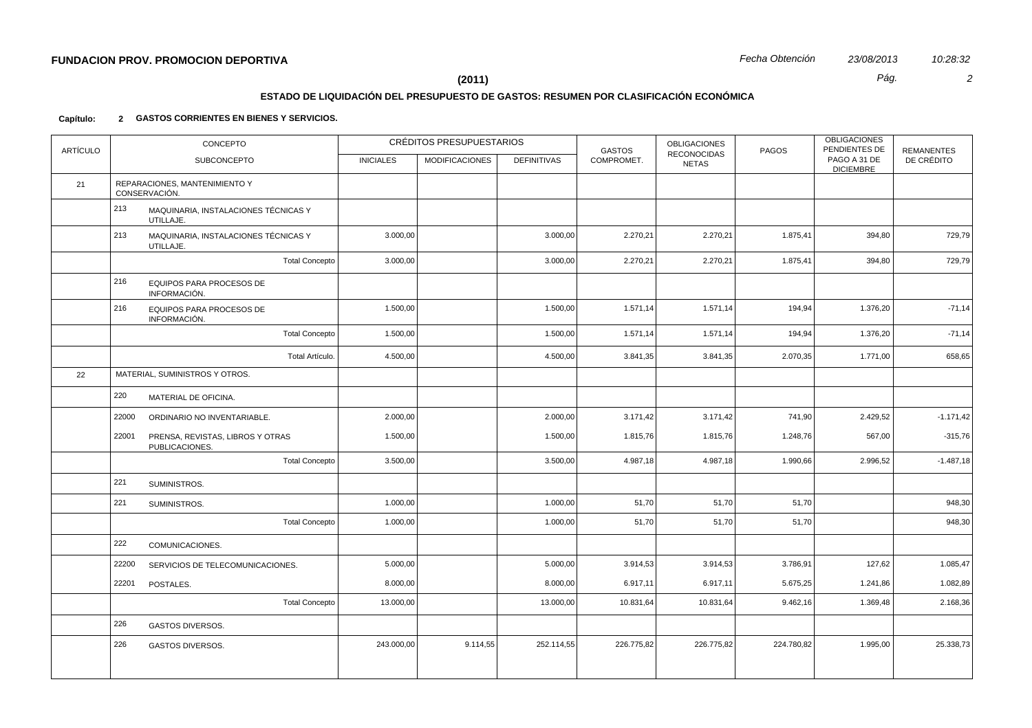# **ESTADO DE LIQUIDACIÓN DEL PRESUPUESTO DE GASTOS: RESUMEN POR CLASIFICACIÓN ECONÓMICA**

### **Capítulo: 2 GASTOS CORRIENTES EN BIENES Y SERVICIOS.**

| <b>ARTÍCULO</b> |       | CONCEPTO                                           |                  | CRÉDITOS PRESUPUESTARIOS |                    | <b>GASTOS</b> | <b>OBLIGACIONES</b><br><b>RECONOCIDAS</b> | PAGOS      | <b>OBLIGACIONES</b><br>PENDIENTES DE | <b>REMANENTES</b> |
|-----------------|-------|----------------------------------------------------|------------------|--------------------------|--------------------|---------------|-------------------------------------------|------------|--------------------------------------|-------------------|
|                 |       | <b>SUBCONCEPTO</b>                                 | <b>INICIALES</b> | <b>MODIFICACIONES</b>    | <b>DEFINITIVAS</b> | COMPROMET.    | <b>NETAS</b>                              |            | PAGO A 31 DE<br><b>DICIEMBRE</b>     | DE CRÉDITO        |
| 21              |       | REPARACIONES, MANTENIMIENTO Y<br>CONSERVACIÓN.     |                  |                          |                    |               |                                           |            |                                      |                   |
|                 | 213   | MAQUINARIA, INSTALACIONES TÉCNICAS Y<br>UTILLAJE.  |                  |                          |                    |               |                                           |            |                                      |                   |
|                 | 213   | MAQUINARIA, INSTALACIONES TÉCNICAS Y<br>UTILLAJE.  | 3.000,00         |                          | 3.000,00           | 2.270,21      | 2.270,21                                  | 1.875,41   | 394,80                               | 729,79            |
|                 |       | <b>Total Concepto</b>                              | 3.000,00         |                          | 3.000,00           | 2.270,21      | 2.270,21                                  | 1.875,41   | 394,80                               | 729,79            |
|                 | 216   | <b>EQUIPOS PARA PROCESOS DE</b><br>INFORMACIÓN.    |                  |                          |                    |               |                                           |            |                                      |                   |
|                 | 216   | EQUIPOS PARA PROCESOS DE<br>INFORMACIÓN.           | 1.500,00         |                          | 1.500,00           | 1.571,14      | 1.571,14                                  | 194,94     | 1.376,20                             | $-71,14$          |
|                 |       | <b>Total Concepto</b>                              | 1.500,00         |                          | 1.500,00           | 1.571,14      | 1.571,14                                  | 194,94     | 1.376,20                             | $-71,14$          |
|                 |       | Total Artículo.                                    | 4.500,00         |                          | 4.500,00           | 3.841,35      | 3.841,35                                  | 2.070,35   | 1.771,00                             | 658,65            |
| 22              |       | MATERIAL, SUMINISTROS Y OTROS.                     |                  |                          |                    |               |                                           |            |                                      |                   |
|                 | 220   | MATERIAL DE OFICINA.                               |                  |                          |                    |               |                                           |            |                                      |                   |
|                 | 22000 | ORDINARIO NO INVENTARIABLE.                        | 2.000,00         |                          | 2.000,00           | 3.171,42      | 3.171,42                                  | 741,90     | 2.429,52                             | $-1.171,42$       |
|                 | 22001 | PRENSA, REVISTAS, LIBROS Y OTRAS<br>PUBLICACIONES. | 1.500,00         |                          | 1.500,00           | 1.815,76      | 1.815,76                                  | 1.248,76   | 567,00                               | $-315,76$         |
|                 |       | <b>Total Concepto</b>                              | 3.500,00         |                          | 3.500,00           | 4.987,18      | 4.987,18                                  | 1.990,66   | 2.996,52                             | $-1.487,18$       |
|                 | 221   | SUMINISTROS.                                       |                  |                          |                    |               |                                           |            |                                      |                   |
|                 | 221   | SUMINISTROS.                                       | 1.000,00         |                          | 1.000,00           | 51,70         | 51,70                                     | 51,70      |                                      | 948,30            |
|                 |       | <b>Total Concepto</b>                              | 1.000,00         |                          | 1.000,00           | 51,70         | 51,70                                     | 51,70      |                                      | 948,30            |
|                 | 222   | COMUNICACIONES.                                    |                  |                          |                    |               |                                           |            |                                      |                   |
|                 | 22200 | SERVICIOS DE TELECOMUNICACIONES.                   | 5.000,00         |                          | 5.000,00           | 3.914,53      | 3.914,53                                  | 3.786,91   | 127,62                               | 1.085,47          |
|                 | 22201 | POSTALES.                                          | 8.000,00         |                          | 8.000,00           | 6.917,11      | 6.917,11                                  | 5.675,25   | 1.241,86                             | 1.082,89          |
|                 |       | <b>Total Concepto</b>                              | 13.000,00        |                          | 13.000,00          | 10.831,64     | 10.831,64                                 | 9.462,16   | 1.369,48                             | 2.168,36          |
|                 | 226   | <b>GASTOS DIVERSOS.</b>                            |                  |                          |                    |               |                                           |            |                                      |                   |
|                 | 226   | <b>GASTOS DIVERSOS.</b>                            | 243.000,00       | 9.114,55                 | 252.114,55         | 226.775,82    | 226.775,82                                | 224.780,82 | 1.995,00                             | 25.338,73         |
|                 |       |                                                    |                  |                          |                    |               |                                           |            |                                      |                   |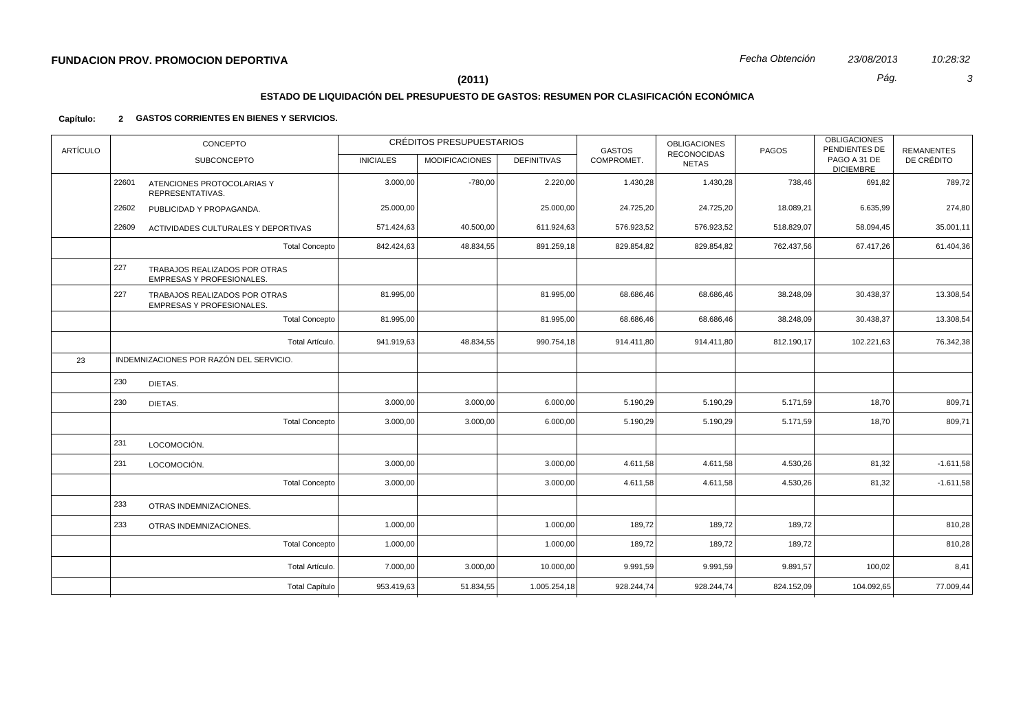## **ESTADO DE LIQUIDACIÓN DEL PRESUPUESTO DE GASTOS: RESUMEN POR CLASIFICACIÓN ECONÓMICA**

### **Capítulo: 2 GASTOS CORRIENTES EN BIENES Y SERVICIOS.**

| <b>ARTÍCULO</b> |       | CONCEPTO                                                          |                  | CRÉDITOS PRESUPUESTARIOS |                    | <b>GASTOS</b> | <b>OBLIGACIONES</b>                | PAGOS      | <b>OBLIGACIONES</b><br>PENDIENTES DE | <b>REMANENTES</b> |
|-----------------|-------|-------------------------------------------------------------------|------------------|--------------------------|--------------------|---------------|------------------------------------|------------|--------------------------------------|-------------------|
|                 |       | SUBCONCEPTO                                                       | <b>INICIALES</b> | <b>MODIFICACIONES</b>    | <b>DEFINITIVAS</b> | COMPROMET.    | <b>RECONOCIDAS</b><br><b>NETAS</b> |            | PAGO A 31 DE<br><b>DICIEMBRE</b>     | DE CRÉDITO        |
|                 | 22601 | ATENCIONES PROTOCOLARIAS Y<br>REPRESENTATIVAS.                    | 3.000,00         | $-780,00$                | 2.220,00           | 1.430,28      | 1.430,28                           | 738,46     | 691,82                               | 789,72            |
|                 | 22602 | PUBLICIDAD Y PROPAGANDA.                                          | 25.000,00        |                          | 25.000,00          | 24.725,20     | 24.725,20                          | 18.089,21  | 6.635,99                             | 274,80            |
|                 | 22609 | ACTIVIDADES CULTURALES Y DEPORTIVAS                               | 571.424,63       | 40.500,00                | 611.924,63         | 576.923,52    | 576.923,52                         | 518.829,07 | 58.094,45                            | 35.001,11         |
|                 |       | <b>Total Concepto</b>                                             | 842.424.63       | 48.834,55                | 891.259,18         | 829.854,82    | 829.854,82                         | 762.437,56 | 67.417,26                            | 61.404,36         |
|                 | 227   | TRABAJOS REALIZADOS POR OTRAS<br>EMPRESAS Y PROFESIONALES.        |                  |                          |                    |               |                                    |            |                                      |                   |
|                 | 227   | TRABAJOS REALIZADOS POR OTRAS<br><b>EMPRESAS Y PROFESIONALES.</b> | 81.995,00        |                          | 81.995,00          | 68.686,46     | 68.686,46                          | 38.248,09  | 30.438,37                            | 13.308,54         |
|                 |       | <b>Total Concepto</b>                                             | 81.995,00        |                          | 81.995,00          | 68.686,46     | 68.686,46                          | 38.248,09  | 30.438,37                            | 13.308,54         |
|                 |       | Total Artículo.                                                   | 941.919,63       | 48.834,55                | 990.754,18         | 914.411,80    | 914.411,80                         | 812.190,17 | 102.221,63                           | 76.342,38         |
| 23              |       | INDEMNIZACIONES POR RAZÓN DEL SERVICIO.                           |                  |                          |                    |               |                                    |            |                                      |                   |
|                 | 230   | DIETAS.                                                           |                  |                          |                    |               |                                    |            |                                      |                   |
|                 | 230   | DIETAS.                                                           | 3.000,00         | 3.000,00                 | 6.000,00           | 5.190,29      | 5.190,29                           | 5.171,59   | 18,70                                | 809,71            |
|                 |       | <b>Total Concepto</b>                                             | 3.000,00         | 3.000,00                 | 6.000,00           | 5.190,29      | 5.190,29                           | 5.171,59   | 18,70                                | 809,71            |
|                 | 231   | LOCOMOCIÓN.                                                       |                  |                          |                    |               |                                    |            |                                      |                   |
|                 | 231   | LOCOMOCIÓN.                                                       | 3.000,00         |                          | 3.000,00           | 4.611,58      | 4.611,58                           | 4.530,26   | 81,32                                | $-1.611,58$       |
|                 |       | <b>Total Concepto</b>                                             | 3.000,00         |                          | 3.000,00           | 4.611,58      | 4.611,58                           | 4.530,26   | 81,32                                | $-1.611,58$       |
|                 | 233   | OTRAS INDEMNIZACIONES.                                            |                  |                          |                    |               |                                    |            |                                      |                   |
|                 | 233   | OTRAS INDEMNIZACIONES.                                            | 1.000,00         |                          | 1.000,00           | 189,72        | 189,72                             | 189,72     |                                      | 810,28            |
|                 |       | <b>Total Concepto</b>                                             | 1.000,00         |                          | 1.000,00           | 189,72        | 189,72                             | 189,72     |                                      | 810,28            |
|                 |       | Total Artículo.                                                   | 7.000,00         | 3.000,00                 | 10.000,00          | 9.991,59      | 9.991,59                           | 9.891,57   | 100,02                               | 8,41              |
|                 |       | <b>Total Capítulo</b>                                             | 953.419,63       | 51.834,55                | 1.005.254,18       | 928.244,74    | 928.244,74                         | 824.152,09 | 104.092,65                           | 77.009,44         |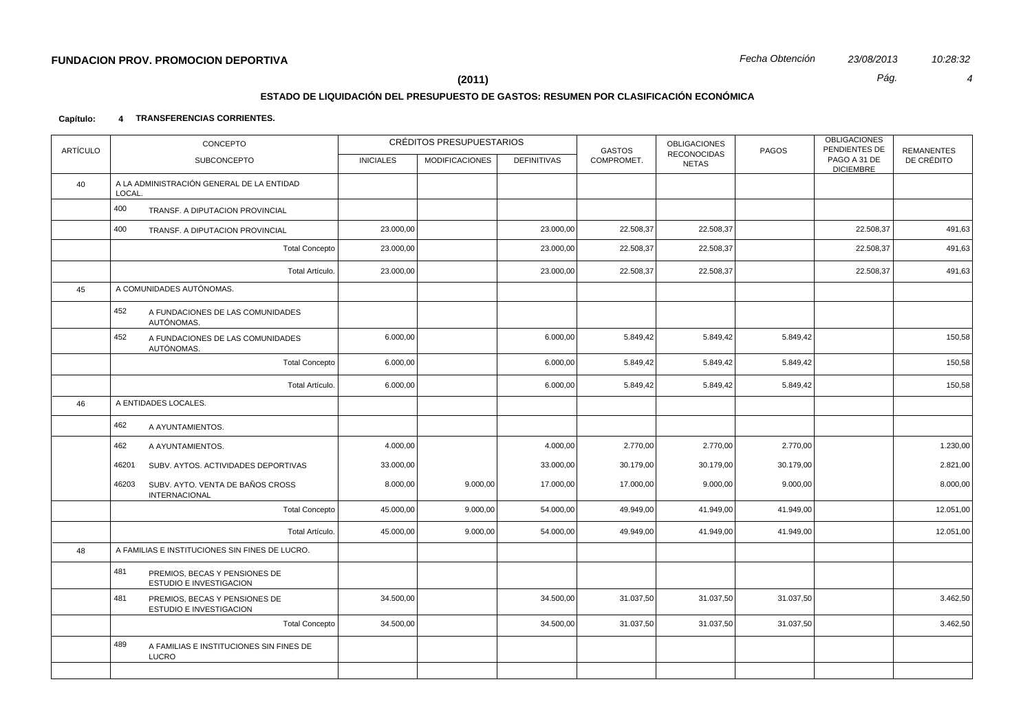## **ESTADO DE LIQUIDACIÓN DEL PRESUPUESTO DE GASTOS: RESUMEN POR CLASIFICACIÓN ECONÓMICA**

### **Capítulo: 4 TRANSFERENCIAS CORRIENTES.**

| <b>ARTÍCULO</b> | CONCEPTO                                                          |                  | CRÉDITOS PRESUPUESTARIOS |                    | <b>GASTOS</b> | <b>OBLIGACIONES</b><br><b>RECONOCIDAS</b> | PAGOS     | <b>OBLIGACIONES</b><br>PENDIENTES DE | <b>REMANENTES</b> |
|-----------------|-------------------------------------------------------------------|------------------|--------------------------|--------------------|---------------|-------------------------------------------|-----------|--------------------------------------|-------------------|
|                 | SUBCONCEPTO                                                       | <b>INICIALES</b> | <b>MODIFICACIONES</b>    | <b>DEFINITIVAS</b> | COMPROMET.    | <b>NETAS</b>                              |           | PAGO A 31 DE<br><b>DICIEMBRE</b>     | DE CRÉDITO        |
| 40              | A LA ADMINISTRACIÓN GENERAL DE LA ENTIDAD<br>LOCAL.               |                  |                          |                    |               |                                           |           |                                      |                   |
|                 | 400<br>TRANSF. A DIPUTACION PROVINCIAL                            |                  |                          |                    |               |                                           |           |                                      |                   |
|                 | 400<br>TRANSF. A DIPUTACION PROVINCIAL                            | 23.000,00        |                          | 23.000,00          | 22.508,37     | 22.508,37                                 |           | 22.508,37                            | 491,63            |
|                 | <b>Total Concepto</b>                                             | 23.000,00        |                          | 23.000,00          | 22.508,37     | 22.508,37                                 |           | 22.508,37                            | 491,63            |
|                 | Total Artículo.                                                   | 23.000,00        |                          | 23.000,00          | 22.508,37     | 22.508,37                                 |           | 22.508,37                            | 491,63            |
| 45              | A COMUNIDADES AUTÓNOMAS.                                          |                  |                          |                    |               |                                           |           |                                      |                   |
|                 | 452<br>A FUNDACIONES DE LAS COMUNIDADES<br>AUTÓNOMAS.             |                  |                          |                    |               |                                           |           |                                      |                   |
|                 | 452<br>A FUNDACIONES DE LAS COMUNIDADES<br>AUTÓNOMAS.             | 6.000,00         |                          | 6.000,00           | 5.849,42      | 5.849,42                                  | 5.849,42  |                                      | 150,58            |
|                 | <b>Total Concepto</b>                                             | 6.000,00         |                          | 6.000,00           | 5.849,42      | 5.849,42                                  | 5.849,42  |                                      | 150,58            |
|                 | Total Artículo.                                                   | 6.000,00         |                          | 6.000,00           | 5.849,42      | 5.849,42                                  | 5.849,42  |                                      | 150,58            |
| 46              | A ENTIDADES LOCALES.                                              |                  |                          |                    |               |                                           |           |                                      |                   |
|                 | 462<br>A AYUNTAMIENTOS.                                           |                  |                          |                    |               |                                           |           |                                      |                   |
|                 | 462<br>A AYUNTAMIENTOS.                                           | 4.000,00         |                          | 4.000,00           | 2.770,00      | 2.770,00                                  | 2.770,00  |                                      | 1.230,00          |
|                 | 46201<br>SUBV. AYTOS. ACTIVIDADES DEPORTIVAS                      | 33.000,00        |                          | 33.000,00          | 30.179,00     | 30.179,00                                 | 30.179,00 |                                      | 2.821,00          |
|                 | 46203<br>SUBV. AYTO. VENTA DE BAÑOS CROSS<br><b>INTERNACIONAL</b> | 8.000,00         | 9.000,00                 | 17.000,00          | 17.000,00     | 9.000,00                                  | 9.000,00  |                                      | 8.000,00          |
|                 | <b>Total Concepto</b>                                             | 45.000,00        | 9.000,00                 | 54.000,00          | 49.949,00     | 41.949,00                                 | 41.949,00 |                                      | 12.051,00         |
|                 | Total Artículo.                                                   | 45.000,00        | 9.000,00                 | 54.000,00          | 49.949,00     | 41.949,00                                 | 41.949,00 |                                      | 12.051,00         |
| 48              | A FAMILIAS E INSTITUCIONES SIN FINES DE LUCRO.                    |                  |                          |                    |               |                                           |           |                                      |                   |
|                 | 481<br>PREMIOS, BECAS Y PENSIONES DE<br>ESTUDIO E INVESTIGACION   |                  |                          |                    |               |                                           |           |                                      |                   |
|                 | 481<br>PREMIOS, BECAS Y PENSIONES DE<br>ESTUDIO E INVESTIGACION   | 34.500,00        |                          | 34.500,00          | 31.037,50     | 31.037,50                                 | 31.037,50 |                                      | 3.462,50          |
|                 | <b>Total Concepto</b>                                             | 34.500,00        |                          | 34.500,00          | 31.037,50     | 31.037,50                                 | 31.037,50 |                                      | 3.462,50          |
|                 | 489<br>A FAMILIAS E INSTITUCIONES SIN FINES DE<br>LUCRO           |                  |                          |                    |               |                                           |           |                                      |                   |
|                 |                                                                   |                  |                          |                    |               |                                           |           |                                      |                   |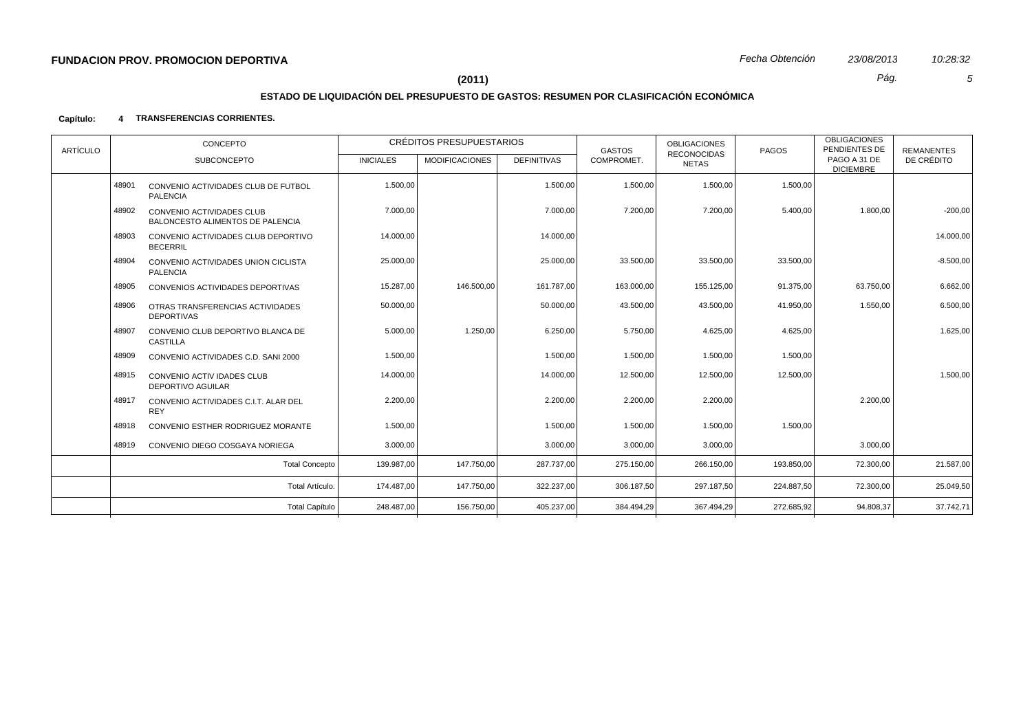# **ESTADO DE LIQUIDACIÓN DEL PRESUPUESTO DE GASTOS: RESUMEN POR CLASIFICACIÓN ECONÓMICA**

### **Capítulo: 4 TRANSFERENCIAS CORRIENTES.**

| ARTÍCULO |       | CONCEPTO                                                             |                  | <b>CRÉDITOS PRESUPUESTARIOS</b> |                    | <b>GASTOS</b> | <b>OBLIGACIONES</b><br><b>RECONOCIDAS</b> | PAGOS      | <b>OBLIGACIONES</b><br>PENDIENTES DE | <b>REMANENTES</b> |
|----------|-------|----------------------------------------------------------------------|------------------|---------------------------------|--------------------|---------------|-------------------------------------------|------------|--------------------------------------|-------------------|
|          |       | <b>SUBCONCEPTO</b>                                                   | <b>INICIALES</b> | <b>MODIFICACIONES</b>           | <b>DEFINITIVAS</b> | COMPROMET.    | NETAS                                     |            | PAGO A 31 DE<br><b>DICIEMBRE</b>     | DE CRÉDITO        |
|          | 48901 | CONVENIO ACTIVIDADES CLUB DE FUTBOL<br><b>PALENCIA</b>               | 1.500,00         |                                 | 1.500,00           | 1.500,00      | 1.500,00                                  | 1.500,00   |                                      |                   |
|          | 48902 | <b>CONVENIO ACTIVIDADES CLUB</b><br>BALONCESTO ALIMENTOS DE PALENCIA | 7.000,00         |                                 | 7.000,00           | 7.200,00      | 7.200,00                                  | 5.400,00   | 1.800,00                             | $-200,00$         |
|          | 48903 | CONVENIO ACTIVIDADES CLUB DEPORTIVO<br><b>BECERRIL</b>               | 14.000,00        |                                 | 14.000,00          |               |                                           |            |                                      | 14.000,00         |
|          | 48904 | CONVENIO ACTIVIDADES UNION CICLISTA<br><b>PALENCIA</b>               | 25.000,00        |                                 | 25.000,00          | 33.500,00     | 33.500,00                                 | 33.500,00  |                                      | $-8.500,00$       |
|          | 48905 | CONVENIOS ACTIVIDADES DEPORTIVAS                                     | 15.287,00        | 146.500,00                      | 161.787,00         | 163.000,00    | 155.125,00                                | 91.375,00  | 63.750,00                            | 6.662,00          |
|          | 48906 | OTRAS TRANSFERENCIAS ACTIVIDADES<br><b>DEPORTIVAS</b>                | 50.000,00        |                                 | 50.000,00          | 43.500,00     | 43.500,00                                 | 41.950,00  | 1.550,00                             | 6.500,00          |
|          | 48907 | CONVENIO CLUB DEPORTIVO BLANCA DE<br><b>CASTILLA</b>                 | 5.000,00         | 1.250,00                        | 6.250,00           | 5.750,00      | 4.625,00                                  | 4.625,00   |                                      | 1.625,00          |
|          | 48909 | CONVENIO ACTIVIDADES C.D. SANI 2000                                  | 1.500,00         |                                 | 1.500,00           | 1.500,00      | 1.500,00                                  | 1.500,00   |                                      |                   |
|          | 48915 | <b>CONVENIO ACTIV IDADES CLUB</b><br><b>DEPORTIVO AGUILAR</b>        | 14.000,00        |                                 | 14.000,00          | 12.500,00     | 12.500,00                                 | 12.500,00  |                                      | 1.500,00          |
|          | 48917 | CONVENIO ACTIVIDADES C.I.T. ALAR DEL<br><b>REY</b>                   | 2.200,00         |                                 | 2.200,00           | 2.200,00      | 2.200,00                                  |            | 2.200,00                             |                   |
|          | 48918 | CONVENIO ESTHER RODRIGUEZ MORANTE                                    | 1.500,00         |                                 | 1.500,00           | 1.500,00      | 1.500,00                                  | 1.500,00   |                                      |                   |
|          | 48919 | CONVENIO DIEGO COSGAYA NORIEGA                                       | 3.000,00         |                                 | 3.000,00           | 3.000,00      | 3.000,00                                  |            | 3.000,00                             |                   |
|          |       | <b>Total Concepto</b>                                                | 139.987,00       | 147.750,00                      | 287.737,00         | 275.150,00    | 266.150,00                                | 193.850,00 | 72.300,00                            | 21.587,00         |
|          |       | Total Artículo.                                                      | 174.487,00       | 147.750,00                      | 322.237,00         | 306.187,50    | 297.187,50                                | 224.887,50 | 72.300,00                            | 25.049,50         |
|          |       | <b>Total Capítulo</b>                                                | 248.487,00       | 156.750,00                      | 405.237,00         | 384.494,29    | 367.494,29                                | 272.685,92 | 94.808,37                            | 37.742,71         |
|          |       |                                                                      |                  |                                 |                    |               |                                           |            |                                      |                   |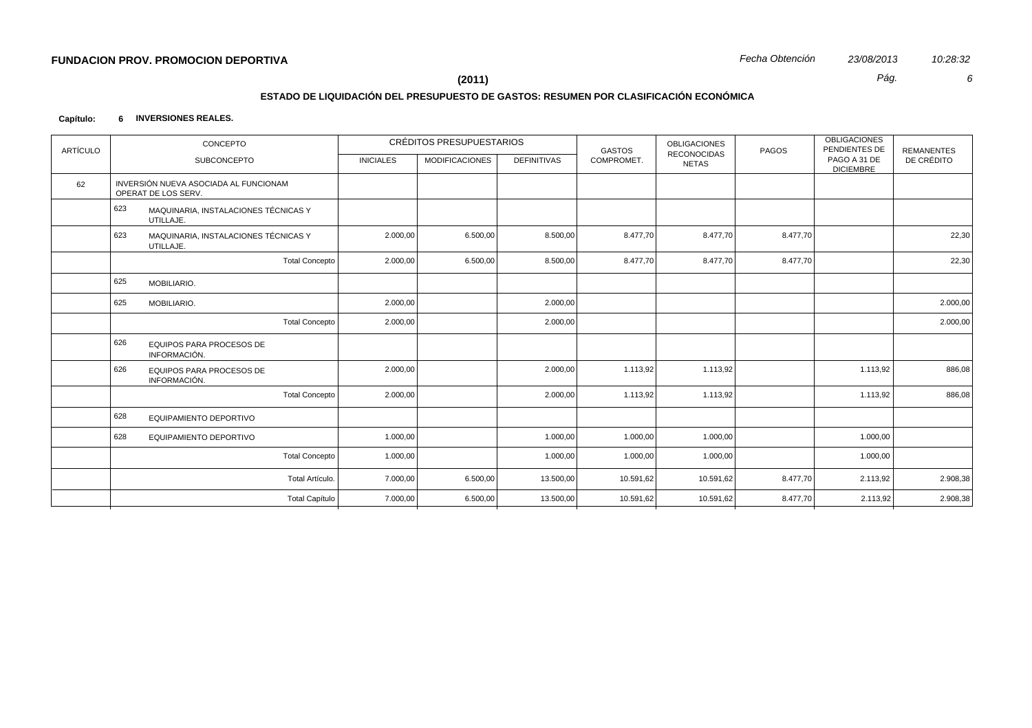# **ESTADO DE LIQUIDACIÓN DEL PRESUPUESTO DE GASTOS: RESUMEN POR CLASIFICACIÓN ECONÓMICA**

### **Capítulo: 6 INVERSIONES REALES.**

| <b>ARTÍCULO</b> | CONCEPTO                                                     |                  | <b>CRÉDITOS PRESUPUESTARIOS</b> |                    | <b>GASTOS</b> | <b>OBLIGACIONES</b><br><b>RECONOCIDAS</b> | PAGOS    | <b>OBLIGACIONES</b><br>PENDIENTES DE | <b>REMANENTES</b> |
|-----------------|--------------------------------------------------------------|------------------|---------------------------------|--------------------|---------------|-------------------------------------------|----------|--------------------------------------|-------------------|
|                 | SUBCONCEPTO                                                  | <b>INICIALES</b> | <b>MODIFICACIONES</b>           | <b>DEFINITIVAS</b> | COMPROMET.    | <b>NETAS</b>                              |          | PAGO A 31 DE<br><b>DICIEMBRE</b>     | DE CRÉDITO        |
| 62              | INVERSIÓN NUEVA ASOCIADA AL FUNCIONAM<br>OPERAT DE LOS SERV. |                  |                                 |                    |               |                                           |          |                                      |                   |
|                 | 623<br>MAQUINARIA, INSTALACIONES TÉCNICAS Y<br>UTILLAJE.     |                  |                                 |                    |               |                                           |          |                                      |                   |
|                 | 623<br>MAQUINARIA, INSTALACIONES TÉCNICAS Y<br>UTILLAJE.     | 2.000,00         | 6.500,00                        | 8.500,00           | 8.477,70      | 8.477,70                                  | 8.477,70 |                                      | 22,30             |
|                 | <b>Total Concepto</b>                                        | 2.000,00         | 6.500,00                        | 8.500,00           | 8.477,70      | 8.477,70                                  | 8.477,70 |                                      | 22,30             |
|                 | 625<br>MOBILIARIO.                                           |                  |                                 |                    |               |                                           |          |                                      |                   |
|                 | 625<br>MOBILIARIO.                                           | 2.000,00         |                                 | 2.000,00           |               |                                           |          |                                      | 2.000,00          |
|                 | <b>Total Concepto</b>                                        | 2.000,00         |                                 | 2.000,00           |               |                                           |          |                                      | 2.000,00          |
|                 | 626<br>EQUIPOS PARA PROCESOS DE<br>INFORMACIÓN.              |                  |                                 |                    |               |                                           |          |                                      |                   |
|                 | 626<br>EQUIPOS PARA PROCESOS DE<br>INFORMACIÓN.              | 2.000,00         |                                 | 2.000,00           | 1.113,92      | 1.113,92                                  |          | 1.113,92                             | 886,08            |
|                 | <b>Total Concepto</b>                                        | 2.000,00         |                                 | 2.000,00           | 1.113,92      | 1.113,92                                  |          | 1.113,92                             | 886,08            |
|                 | 628<br>EQUIPAMIENTO DEPORTIVO                                |                  |                                 |                    |               |                                           |          |                                      |                   |
|                 | 628<br>EQUIPAMIENTO DEPORTIVO                                | 1.000,00         |                                 | 1.000,00           | 1.000,00      | 1.000,00                                  |          | 1.000,00                             |                   |
|                 | <b>Total Concepto</b>                                        | 1.000,00         |                                 | 1.000,00           | 1.000,00      | 1.000,00                                  |          | 1.000,00                             |                   |
|                 | Total Artículo.                                              | 7.000,00         | 6.500,00                        | 13.500,00          | 10.591,62     | 10.591,62                                 | 8.477,70 | 2.113,92                             | 2.908,38          |
|                 | <b>Total Capítulo</b>                                        | 7.000,00         | 6.500,00                        | 13.500,00          | 10.591,62     | 10.591,62                                 | 8.477,70 | 2.113,92                             | 2.908,38          |
|                 |                                                              |                  |                                 |                    |               |                                           |          |                                      |                   |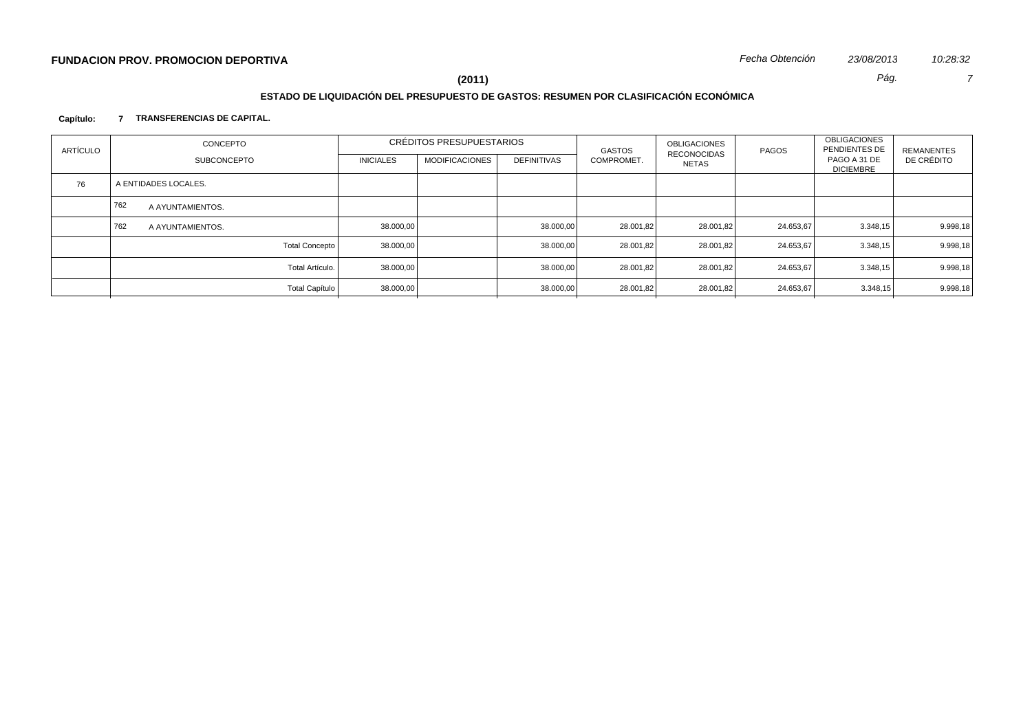# **ESTADO DE LIQUIDACIÓN DEL PRESUPUESTO DE GASTOS: RESUMEN POR CLASIFICACIÓN ECONÓMICA**

### **Capítulo: 7 TRANSFERENCIAS DE CAPITAL.**

| <b>ARTÍCULO</b> | CONCEPTO                |                  | CRÉDITOS PRESUPUESTARIOS |                    | GASTOS     | <b>OBLIGACIONES</b><br><b>RECONOCIDAS</b> | PAGOS     | <b>OBLIGACIONES</b><br>PENDIENTES DE | REMANENTES |
|-----------------|-------------------------|------------------|--------------------------|--------------------|------------|-------------------------------------------|-----------|--------------------------------------|------------|
|                 | <b>SUBCONCEPTO</b>      | <b>INICIALES</b> | <b>MODIFICACIONES</b>    | <b>DEFINITIVAS</b> | COMPROMET. | NETAS                                     |           | PAGO A 31 DE<br><b>DICIEMBRE</b>     | DE CRÉDITO |
| 76              | A ENTIDADES LOCALES.    |                  |                          |                    |            |                                           |           |                                      |            |
|                 | 762<br>A AYUNTAMIENTOS. |                  |                          |                    |            |                                           |           |                                      |            |
|                 | 762<br>A AYUNTAMIENTOS. | 38.000,00        |                          | 38.000,00          | 28.001,82  | 28.001,82                                 | 24.653,67 | 3.348,15                             | 9.998,18   |
|                 | <b>Total Concepto</b>   | 38.000,00        |                          | 38.000,00          | 28.001,82  | 28.001,82                                 | 24.653,67 | 3.348,15                             | 9.998,18   |
|                 | Total Artículo.         | 38.000,00        |                          | 38.000,00          | 28.001,82  | 28.001,82                                 | 24.653,67 | 3.348,15                             | 9.998,18   |
|                 | <b>Total Capítulo</b>   | 38.000,00        |                          | 38.000,00          | 28.001,82  | 28.001,82                                 | 24.653,67 | 3.348,15                             | 9.998,18   |
|                 |                         |                  |                          |                    |            |                                           |           |                                      |            |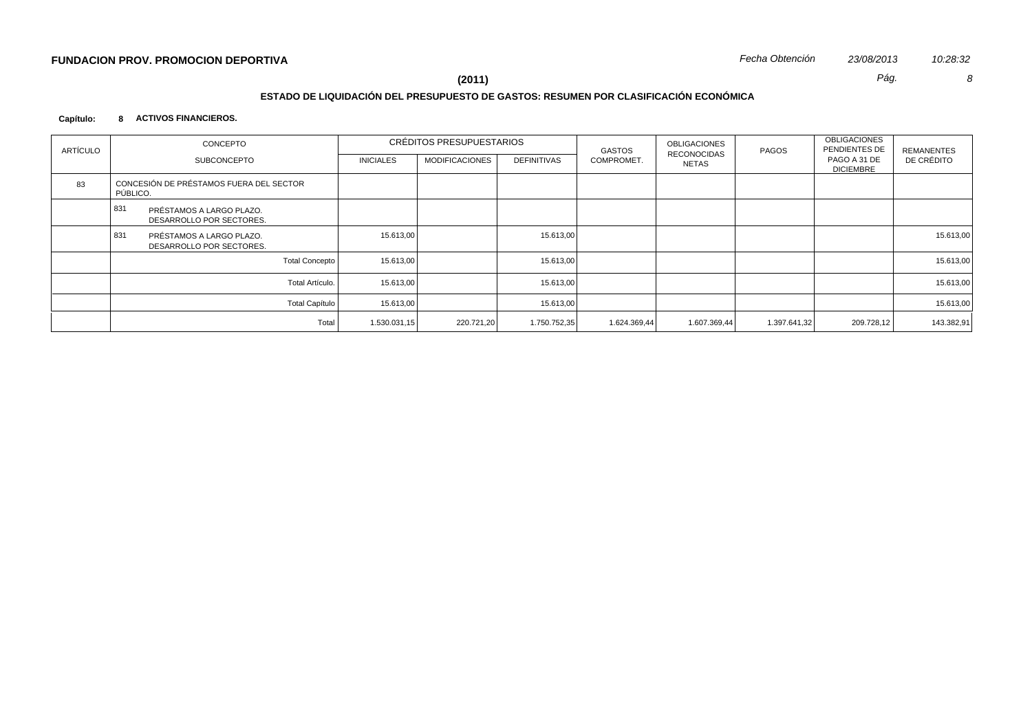# **ESTADO DE LIQUIDACIÓN DEL PRESUPUESTO DE GASTOS: RESUMEN POR CLASIFICACIÓN ECONÓMICA**

### **Capítulo: 8 ACTIVOS FINANCIEROS.**

| ARTÍCULO | CONCEPTO                                                    |                       |                  | CRÉDITOS PRESUPUESTARIOS |                    | GASTOS       | OBLIGACIONES                | PAGOS        | <b>OBLIGACIONES</b><br>PENDIENTES DE | <b>REMANENTES</b> |
|----------|-------------------------------------------------------------|-----------------------|------------------|--------------------------|--------------------|--------------|-----------------------------|--------------|--------------------------------------|-------------------|
|          | SUBCONCEPTO                                                 |                       | <b>INICIALES</b> | <b>MODIFICACIONES</b>    | <b>DEFINITIVAS</b> | COMPROMET.   | <b>RECONOCIDAS</b><br>NETAS |              | PAGO A 31 DE<br><b>DICIEMBRE</b>     | DE CRÉDITO        |
| 83       | CONCESIÓN DE PRÉSTAMOS FUERA DEL SECTOR<br>PÚBLICO.         |                       |                  |                          |                    |              |                             |              |                                      |                   |
|          | 831<br>PRÉSTAMOS A LARGO PLAZO.<br>DESARROLLO POR SECTORES. |                       |                  |                          |                    |              |                             |              |                                      |                   |
|          | 831<br>PRÉSTAMOS A LARGO PLAZO.<br>DESARROLLO POR SECTORES. |                       | 15.613,00        |                          | 15.613,00          |              |                             |              |                                      | 15.613,00         |
|          |                                                             | <b>Total Concepto</b> | 15.613,00        |                          | 15.613,00          |              |                             |              |                                      | 15.613,00         |
|          |                                                             | Total Artículo.       | 15.613.00        |                          | 15.613,00          |              |                             |              |                                      | 15.613,00         |
|          |                                                             | <b>Total Capítulo</b> | 15.613,00        |                          | 15.613,00          |              |                             |              |                                      | 15.613,00         |
|          |                                                             | Total                 | 1.530.031,15     | 220.721,20               | 1.750.752,35       | 1.624.369,44 | 1.607.369,44                | 1.397.641,32 | 209.728,12                           | 143.382,91        |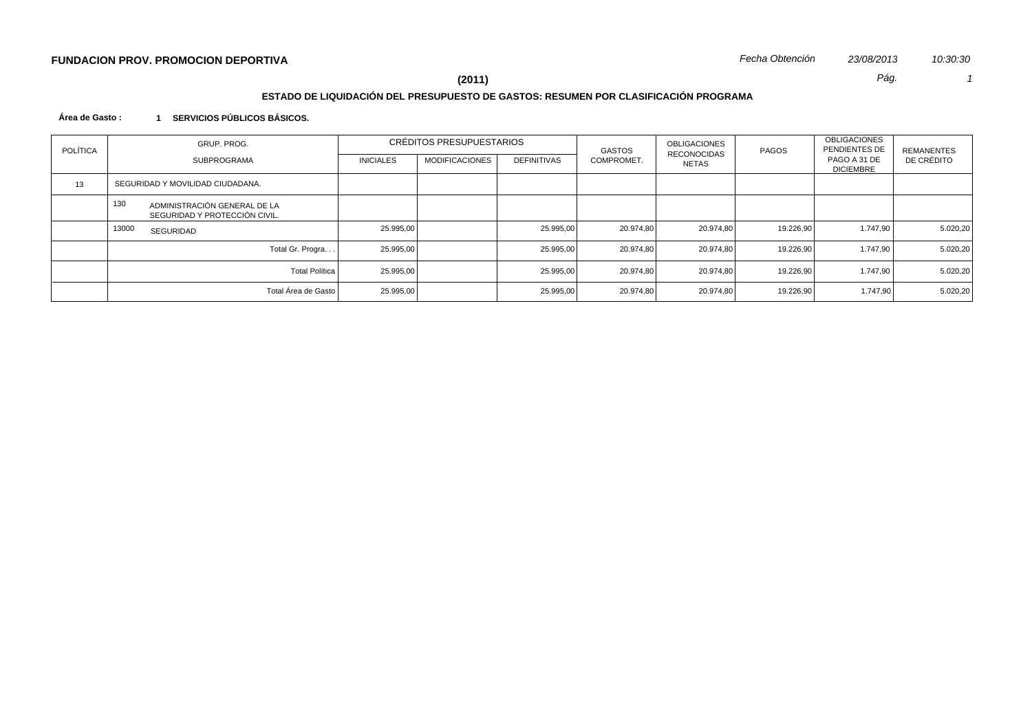# **ESTADO DE LIQUIDACIÓN DEL PRESUPUESTO DE GASTOS: RESUMEN POR CLASIFICACIÓN PROGRAMA**

**Área de Gasto : 1 SERVICIOS PÚBLICOS BÁSICOS.**

| <b>POLÍTICA</b> |       | GRUP, PROG.                                                   | CRÉDITOS PRESUPUESTARIOS |                       | <b>GASTOS</b>      | <b>OBLIGACIONES</b><br>RECONOCIDAS | PAGOS     | <b>OBLIGACIONES</b><br>PENDIENTES DE | REMANENTES                       |            |
|-----------------|-------|---------------------------------------------------------------|--------------------------|-----------------------|--------------------|------------------------------------|-----------|--------------------------------------|----------------------------------|------------|
|                 |       | SUBPROGRAMA                                                   | <b>INICIALES</b>         | <b>MODIFICACIONES</b> | <b>DEFINITIVAS</b> | COMPROMET.                         | NETAS     |                                      | PAGO A 31 DE<br><b>DICIEMBRE</b> | DE CRÉDITO |
| 13              |       | SEGURIDAD Y MOVILIDAD CIUDADANA.                              |                          |                       |                    |                                    |           |                                      |                                  |            |
|                 | 130   | ADMINISTRACIÓN GENERAL DE LA<br>SEGURIDAD Y PROTECCIÓN CIVIL. |                          |                       |                    |                                    |           |                                      |                                  |            |
|                 | 13000 | SEGURIDAD                                                     | 25.995,00                |                       | 25.995,00          | 20.974.80                          | 20.974.80 | 19.226,90                            | 1.747,90                         | 5.020,20   |
|                 |       | Total Gr. Progra                                              | 25.995,00                |                       | 25.995,00          | 20.974,80                          | 20.974.80 | 19.226,90                            | 1.747,90                         | 5.020,20   |
|                 |       | <b>Total Política</b>                                         | 25.995,00                |                       | 25.995,00          | 20.974.80                          | 20.974,80 | 19.226,90                            | 1.747,90                         | 5.020,20   |
|                 |       | Total Área de Gasto                                           | 25.995,00                |                       | 25.995,00          | 20.974,80                          | 20.974.80 | 19.226,90                            | 1.747,90                         | 5.020,20   |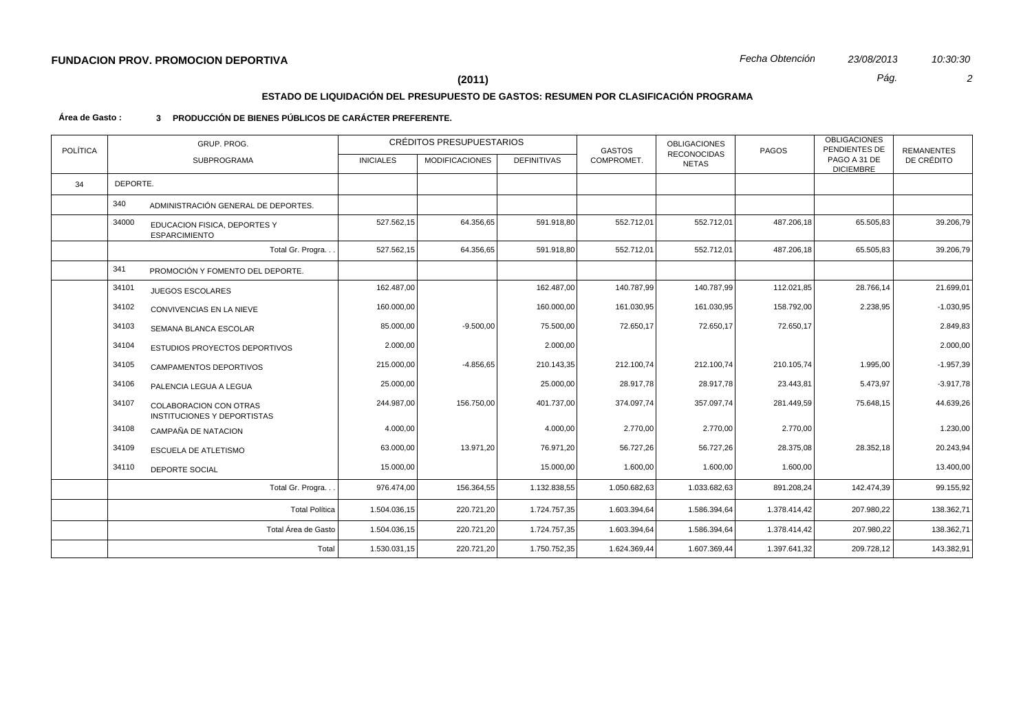## **ESTADO DE LIQUIDACIÓN DEL PRESUPUESTO DE GASTOS: RESUMEN POR CLASIFICACIÓN PROGRAMA**

#### **Área de Gasto : 3 PRODUCCIÓN DE BIENES PÚBLICOS DE CARÁCTER PREFERENTE.**

| <b>POLÍTICA</b> | GRUP. PROG.<br>SUBPROGRAMA                                     |                       |                  | CRÉDITOS PRESUPUESTARIOS |                    | <b>GASTOS</b> | <b>OBLIGACIONES</b>                | PAGOS        | <b>OBLIGACIONES</b><br>PENDIENTES DE | <b>REMANENTES</b> |
|-----------------|----------------------------------------------------------------|-----------------------|------------------|--------------------------|--------------------|---------------|------------------------------------|--------------|--------------------------------------|-------------------|
|                 |                                                                |                       | <b>INICIALES</b> | <b>MODIFICACIONES</b>    | <b>DEFINITIVAS</b> | COMPROMET.    | <b>RECONOCIDAS</b><br><b>NETAS</b> |              | PAGO A 31 DE<br><b>DICIEMBRE</b>     | DE CRÉDITO        |
| 34              | DEPORTE.                                                       |                       |                  |                          |                    |               |                                    |              |                                      |                   |
|                 | 340<br>ADMINISTRACIÓN GENERAL DE DEPORTES.                     |                       |                  |                          |                    |               |                                    |              |                                      |                   |
|                 | 34000<br>EDUCACION FISICA, DEPORTES Y<br><b>ESPARCIMIENTO</b>  |                       | 527.562,15       | 64.356,65                | 591.918,80         | 552.712,01    | 552.712,01                         | 487.206,18   | 65.505,83                            | 39.206,79         |
|                 |                                                                | Total Gr. Progra      | 527.562,15       | 64.356,65                | 591.918,80         | 552.712,01    | 552.712,01                         | 487.206,18   | 65.505,83                            | 39.206,79         |
|                 | 341<br>PROMOCIÓN Y FOMENTO DEL DEPORTE.                        |                       |                  |                          |                    |               |                                    |              |                                      |                   |
|                 | 34101<br><b>JUEGOS ESCOLARES</b>                               |                       | 162.487,00       |                          | 162.487,00         | 140.787,99    | 140.787,99                         | 112.021,85   | 28.766,14                            | 21.699,01         |
|                 | 34102<br>CONVIVENCIAS EN LA NIEVE                              |                       | 160.000,00       |                          | 160.000,00         | 161.030,95    | 161.030,95                         | 158.792,00   | 2.238,95                             | $-1.030,95$       |
|                 | 34103<br>SEMANA BLANCA ESCOLAR                                 |                       | 85.000,00        | $-9.500,00$              | 75.500,00          | 72.650,17     | 72.650,17                          | 72.650,17    |                                      | 2.849,83          |
|                 | 34104<br>ESTUDIOS PROYECTOS DEPORTIVOS                         |                       | 2.000,00         |                          | 2.000,00           |               |                                    |              |                                      | 2.000,00          |
|                 | 34105<br>CAMPAMENTOS DEPORTIVOS                                |                       | 215.000,00       | $-4.856,65$              | 210.143,35         | 212.100,74    | 212.100,74                         | 210.105,74   | 1.995,00                             | $-1.957,39$       |
|                 | 34106<br>PALENCIA LEGUA A LEGUA                                |                       | 25.000,00        |                          | 25.000,00          | 28.917,78     | 28.917,78                          | 23.443,81    | 5.473,97                             | $-3.917,78$       |
|                 | 34107<br>COLABORACION CON OTRAS<br>INSTITUCIONES Y DEPORTISTAS |                       | 244.987,00       | 156.750,00               | 401.737,00         | 374.097,74    | 357.097,74                         | 281.449,59   | 75.648,15                            | 44.639,26         |
|                 | 34108<br>CAMPAÑA DE NATACION                                   |                       | 4.000,00         |                          | 4.000,00           | 2.770,00      | 2.770,00                           | 2.770,00     |                                      | 1.230,00          |
|                 | 34109<br>ESCUELA DE ATLETISMO                                  |                       | 63.000,00        | 13.971,20                | 76.971,20          | 56.727,26     | 56.727,26                          | 28.375,08    | 28.352,18                            | 20.243,94         |
|                 | 34110<br>DEPORTE SOCIAL                                        |                       | 15.000,00        |                          | 15.000,00          | 1.600,00      | 1.600,00                           | 1.600,00     |                                      | 13.400,00         |
|                 |                                                                | Total Gr. Progra      | 976.474,00       | 156.364,55               | 1.132.838,55       | 1.050.682,63  | 1.033.682,63                       | 891.208,24   | 142.474,39                           | 99.155,92         |
|                 |                                                                | <b>Total Política</b> | 1.504.036,15     | 220.721,20               | 1.724.757,35       | 1.603.394,64  | 1.586.394,64                       | 1.378.414,42 | 207.980,22                           | 138.362,71        |
|                 |                                                                | Total Área de Gasto   | 1.504.036,15     | 220.721,20               | 1.724.757,35       | 1.603.394,64  | 1.586.394,64                       | 1.378.414,42 | 207.980,22                           | 138.362,71        |
|                 |                                                                | Total                 | 1.530.031,15     | 220.721,20               | 1.750.752,35       | 1.624.369,44  | 1.607.369,44                       | 1.397.641,32 | 209.728,12                           | 143.382,91        |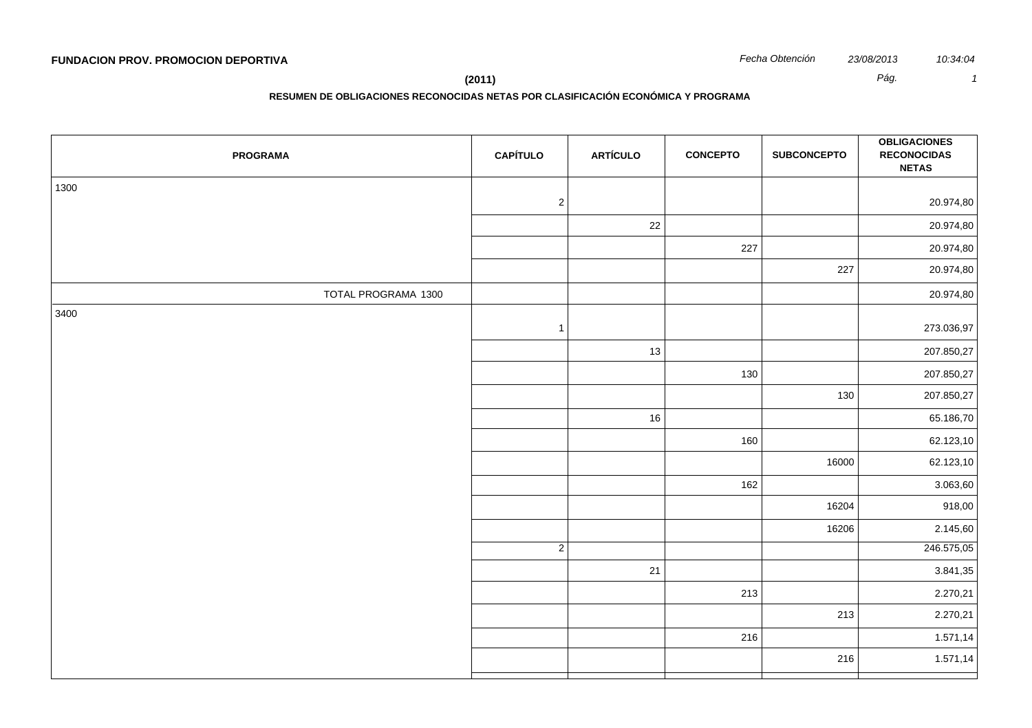## **(2011)** *Pág. 1*

# **RESUMEN DE OBLIGACIONES RECONOCIDAS NETAS POR CLASIFICACIÓN ECONÓMICA Y PROGRAMA**

| <b>PROGRAMA</b>     | <b>CAPÍTULO</b> | <b>ARTÍCULO</b> | <b>CONCEPTO</b> | <b>SUBCONCEPTO</b> | <b>OBLIGACIONES</b><br><b>RECONOCIDAS</b><br><b>NETAS</b> |
|---------------------|-----------------|-----------------|-----------------|--------------------|-----------------------------------------------------------|
| 1300                |                 |                 |                 |                    |                                                           |
|                     | $\sqrt{2}$      |                 |                 |                    | 20.974,80                                                 |
|                     |                 | 22              |                 |                    | 20.974,80                                                 |
|                     |                 |                 | 227             |                    | 20.974,80                                                 |
|                     |                 |                 |                 | 227                | 20.974,80                                                 |
| TOTAL PROGRAMA 1300 |                 |                 |                 |                    | 20.974,80                                                 |
| 3400                |                 |                 |                 |                    |                                                           |
|                     | $\mathbf{1}$    |                 |                 |                    | 273.036,97                                                |
|                     |                 | 13              |                 |                    | 207.850,27                                                |
|                     |                 |                 | 130             |                    | 207.850,27                                                |
|                     |                 |                 |                 | 130                | 207.850,27                                                |
|                     |                 | $16\,$          |                 |                    | 65.186,70                                                 |
|                     |                 |                 | 160             |                    | 62.123,10                                                 |
|                     |                 |                 |                 | 16000              | 62.123,10                                                 |
|                     |                 |                 | 162             |                    | 3.063,60                                                  |
|                     |                 |                 |                 | 16204              | 918,00                                                    |
|                     |                 |                 |                 | 16206              | 2.145,60                                                  |
|                     | $\overline{2}$  |                 |                 |                    | 246.575,05                                                |
|                     |                 | 21              |                 |                    | 3.841,35                                                  |
|                     |                 |                 | 213             |                    | 2.270,21                                                  |
|                     |                 |                 |                 | 213                | 2.270,21                                                  |
|                     |                 |                 | 216             |                    | 1.571,14                                                  |
|                     |                 |                 |                 | 216                | 1.571,14                                                  |
|                     |                 |                 |                 |                    |                                                           |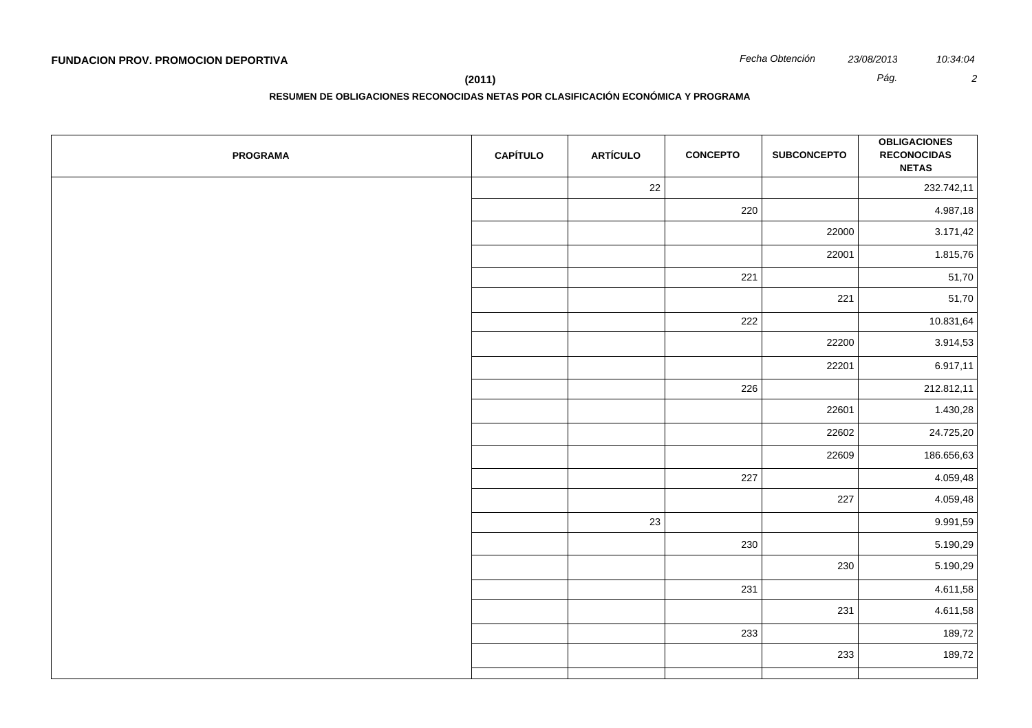**(2011)** *Pág. 2*

**RESUMEN DE OBLIGACIONES RECONOCIDAS NETAS POR CLASIFICACIÓN ECONÓMICA Y PROGRAMA**

| <b>PROGRAMA</b> | <b>CAPÍTULO</b> | <b>ARTÍCULO</b> | <b>CONCEPTO</b> | <b>SUBCONCEPTO</b> | <b>OBLIGACIONES</b><br><b>RECONOCIDAS</b><br><b>NETAS</b> |
|-----------------|-----------------|-----------------|-----------------|--------------------|-----------------------------------------------------------|
|                 |                 | 22              |                 |                    | 232.742,11                                                |
|                 |                 |                 | 220             |                    | 4.987,18                                                  |
|                 |                 |                 |                 | 22000              | 3.171,42                                                  |
|                 |                 |                 |                 | 22001              | 1.815,76                                                  |
|                 |                 |                 | 221             |                    | 51,70                                                     |
|                 |                 |                 |                 | 221                | 51,70                                                     |
|                 |                 |                 | 222             |                    | 10.831,64                                                 |
|                 |                 |                 |                 | 22200              | 3.914,53                                                  |
|                 |                 |                 |                 | 22201              | 6.917,11                                                  |
|                 |                 |                 | 226             |                    | 212.812,11                                                |
|                 |                 |                 |                 | 22601              | 1.430,28                                                  |
|                 |                 |                 |                 | 22602              | 24.725,20                                                 |
|                 |                 |                 |                 | 22609              | 186.656,63                                                |
|                 |                 |                 | 227             |                    | 4.059,48                                                  |
|                 |                 |                 |                 | 227                | 4.059,48                                                  |
|                 |                 | 23              |                 |                    | 9.991,59                                                  |
|                 |                 |                 | 230             |                    | 5.190,29                                                  |
|                 |                 |                 |                 | 230                | 5.190,29                                                  |
|                 |                 |                 | 231             |                    | 4.611,58                                                  |
|                 |                 |                 |                 | 231                | 4.611,58                                                  |
|                 |                 |                 | 233             |                    | 189,72                                                    |
|                 |                 |                 |                 | 233                | 189,72                                                    |
|                 |                 |                 |                 |                    |                                                           |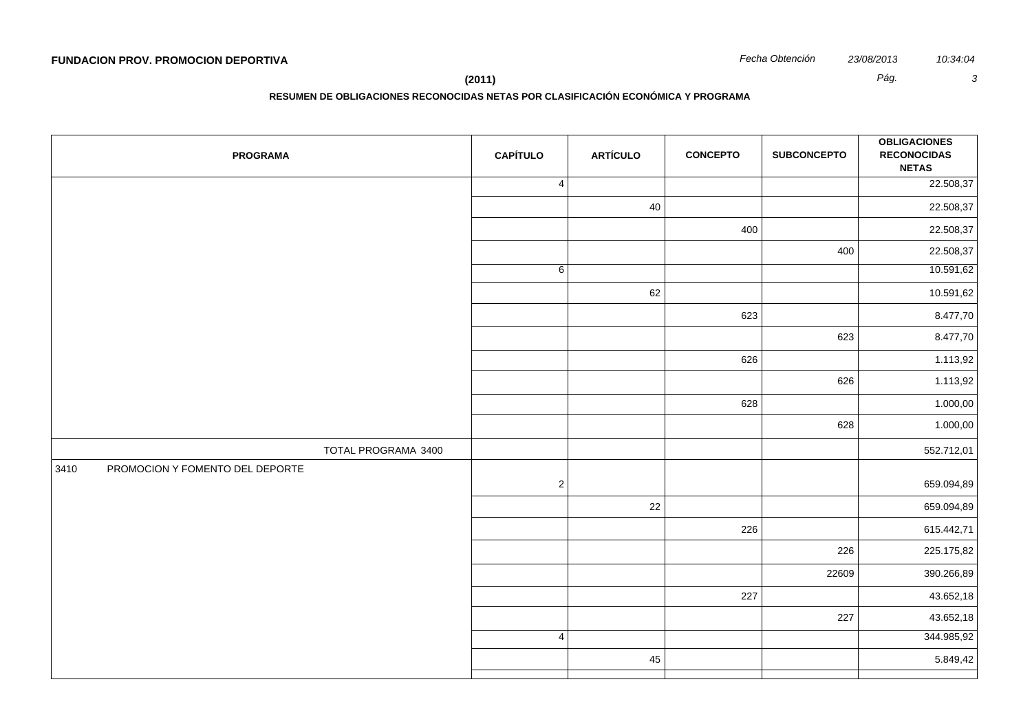**(2011)** *Pág. 3*

**RESUMEN DE OBLIGACIONES RECONOCIDAS NETAS POR CLASIFICACIÓN ECONÓMICA Y PROGRAMA**

| <b>PROGRAMA</b>                         | <b>CAPÍTULO</b> | <b>ARTÍCULO</b> | <b>CONCEPTO</b> | <b>SUBCONCEPTO</b> | <b>OBLIGACIONES</b><br><b>RECONOCIDAS</b><br><b>NETAS</b> |
|-----------------------------------------|-----------------|-----------------|-----------------|--------------------|-----------------------------------------------------------|
|                                         | $\vert 4 \vert$ |                 |                 |                    | 22.508,37                                                 |
|                                         |                 | 40              |                 |                    | 22.508,37                                                 |
|                                         |                 |                 | 400             |                    | 22.508,37<br>22.508,37                                    |
|                                         |                 |                 |                 | 400                |                                                           |
|                                         | 6               |                 |                 |                    | 10.591,62                                                 |
|                                         |                 | 62              |                 | 10.591,62          |                                                           |
|                                         |                 |                 | 623             |                    | 8.477,70                                                  |
|                                         |                 |                 |                 | 623                | 8.477,70                                                  |
|                                         |                 |                 | 626             |                    | 1.113,92                                                  |
|                                         |                 |                 |                 | 626                | 1.113,92                                                  |
|                                         |                 |                 | 628             |                    | 1.000,00                                                  |
|                                         |                 |                 |                 | 628                | 1.000,00                                                  |
| TOTAL PROGRAMA 3400                     |                 |                 |                 |                    | 552.712,01                                                |
| 3410<br>PROMOCION Y FOMENTO DEL DEPORTE | $\overline{2}$  |                 |                 |                    | 659.094,89                                                |
|                                         |                 | 22              |                 |                    | 659.094,89                                                |
|                                         |                 |                 | 226             |                    | 615.442,71                                                |
|                                         |                 |                 |                 | 226                | 225.175,82                                                |
|                                         |                 |                 |                 | 22609              | 390.266,89                                                |
|                                         |                 |                 | 227             |                    | 43.652,18                                                 |
|                                         |                 |                 |                 | 227                | 43.652,18                                                 |
|                                         | 4               |                 |                 |                    | 344.985,92                                                |
|                                         |                 | 45              |                 |                    | 5.849,42                                                  |
|                                         |                 |                 |                 |                    |                                                           |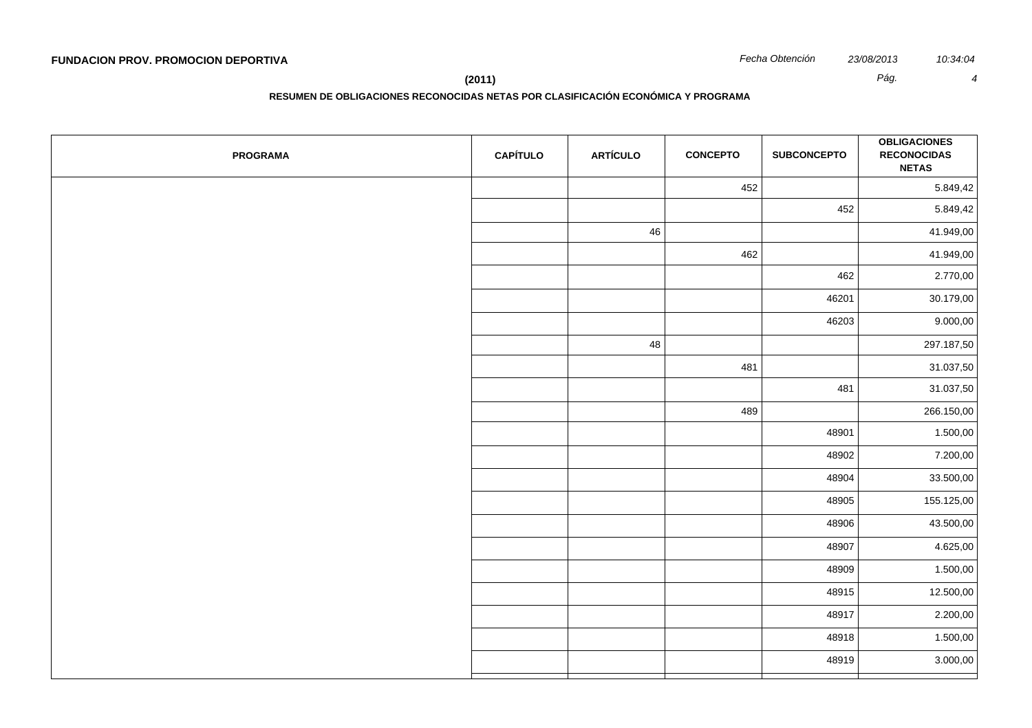**RESUMEN DE OBLIGACIONES RECONOCIDAS NETAS POR CLASIFICACIÓN ECONÓMICA Y PROGRAMA**

| <b>PROGRAMA</b> | <b>CAPÍTULO</b> | <b>ARTÍCULO</b> | <b>CONCEPTO</b> | <b>SUBCONCEPTO</b> | <b>OBLIGACIONES</b><br><b>RECONOCIDAS</b><br><b>NETAS</b> |
|-----------------|-----------------|-----------------|-----------------|--------------------|-----------------------------------------------------------|
|                 |                 |                 | 452             |                    | 5.849,42                                                  |
|                 |                 |                 |                 | 452                | 5.849,42                                                  |
|                 |                 | 46              |                 |                    | 41.949,00                                                 |
|                 |                 |                 | 462             |                    | 41.949,00                                                 |
|                 |                 |                 |                 | 462                | 2.770,00                                                  |
|                 |                 |                 |                 | 46201              | 30.179,00                                                 |
|                 |                 |                 |                 | 46203              | 9.000,00                                                  |
|                 |                 | 48              |                 |                    | 297.187,50                                                |
|                 |                 |                 | 481             |                    | 31.037,50                                                 |
|                 |                 |                 |                 | 481                | 31.037,50                                                 |
|                 |                 |                 | 489             |                    | 266.150,00                                                |
|                 |                 |                 |                 | 48901              | 1.500,00                                                  |
|                 |                 |                 |                 | 48902              | 7.200,00                                                  |
|                 |                 |                 |                 | 48904              | 33.500,00                                                 |
|                 |                 |                 |                 | 48905              | 155.125,00                                                |
|                 |                 |                 |                 | 48906              | 43.500,00                                                 |
|                 |                 |                 |                 | 48907              | 4.625,00                                                  |
|                 |                 |                 |                 | 48909              | 1.500,00                                                  |
|                 |                 |                 |                 | 48915              | 12.500,00                                                 |
|                 |                 |                 |                 | 48917              | 2.200,00                                                  |
|                 |                 |                 |                 | 48918              | 1.500,00                                                  |
|                 |                 |                 |                 | 48919              | 3.000,00                                                  |
|                 |                 |                 |                 |                    |                                                           |

**(2011)** *Pág. 4*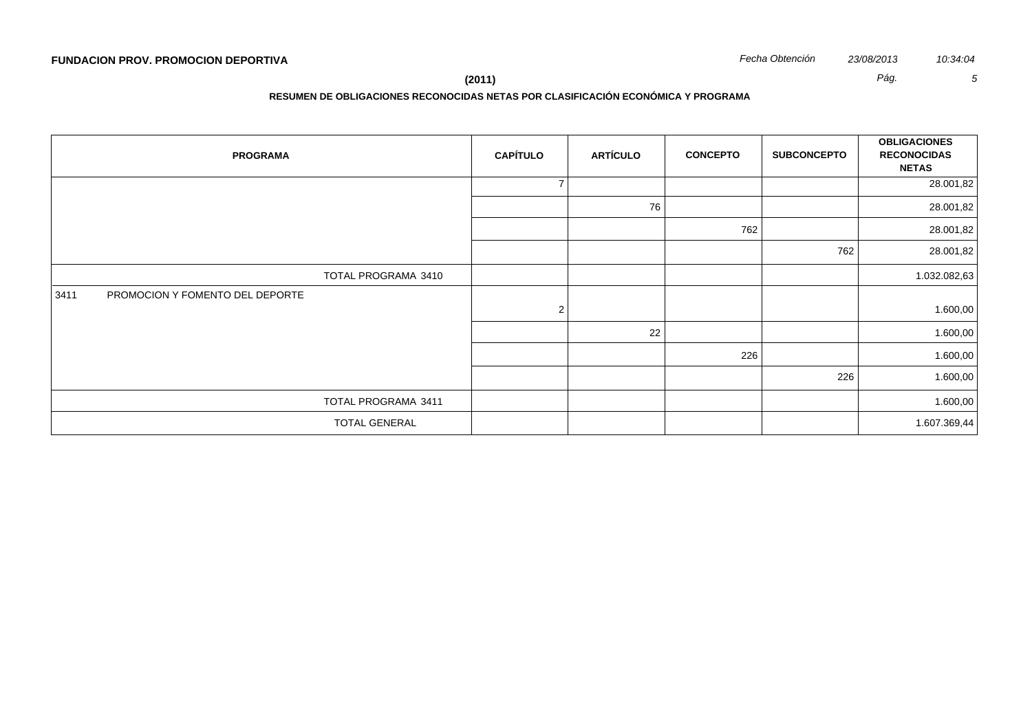**RESUMEN DE OBLIGACIONES RECONOCIDAS NETAS POR CLASIFICACIÓN ECONÓMICA Y PROGRAMA**

| <b>PROGRAMA</b>                         | <b>CAPÍTULO</b> | <b>ARTÍCULO</b> | <b>CONCEPTO</b> | <b>SUBCONCEPTO</b> | <b>OBLIGACIONES</b><br><b>RECONOCIDAS</b><br><b>NETAS</b> |
|-----------------------------------------|-----------------|-----------------|-----------------|--------------------|-----------------------------------------------------------|
|                                         | $\overline{7}$  |                 |                 |                    | 28.001,82                                                 |
|                                         |                 | 76              |                 |                    | 28.001,82                                                 |
|                                         |                 |                 | 762             |                    | 28.001,82                                                 |
|                                         |                 |                 |                 | 762                | 28.001,82                                                 |
| TOTAL PROGRAMA 3410                     |                 |                 |                 |                    | 1.032.082,63                                              |
| PROMOCION Y FOMENTO DEL DEPORTE<br>3411 | $\overline{2}$  |                 |                 |                    | 1.600,00                                                  |
|                                         |                 | 22              |                 |                    | 1.600,00                                                  |
|                                         |                 |                 | 226             |                    | 1.600,00                                                  |
|                                         |                 |                 |                 | 226                | 1.600,00                                                  |
| TOTAL PROGRAMA 3411                     |                 |                 |                 |                    | 1.600,00                                                  |
| <b>TOTAL GENERAL</b>                    |                 |                 |                 |                    | 1.607.369,44                                              |

**(2011)** *Pág. 5*